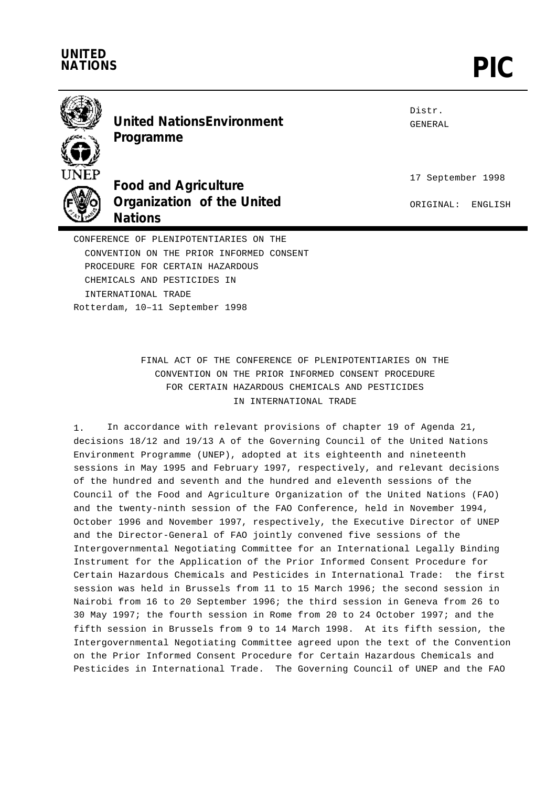# **UNITED NATIONS**



**United NationsEnvironment Programme**

Distr. GENERAL

17 September 1998

**Food and Agriculture Organization of the United Nations**

ORIGINAL: ENGLISH

CONFERENCE OF PLENIPOTENTIARIES ON THE CONVENTION ON THE PRIOR INFORMED CONSENT PROCEDURE FOR CERTAIN HAZARDOUS CHEMICALS AND PESTICIDES IN INTERNATIONAL TRADE Rotterdam, 10–11 September 1998

> FINAL ACT OF THE CONFERENCE OF PLENIPOTENTIARIES ON THE CONVENTION ON THE PRIOR INFORMED CONSENT PROCEDURE FOR CERTAIN HAZARDOUS CHEMICALS AND PESTICIDES IN INTERNATIONAL TRADE

1. In accordance with relevant provisions of chapter 19 of Agenda 21, decisions 18/12 and 19/13 A of the Governing Council of the United Nations Environment Programme (UNEP), adopted at its eighteenth and nineteenth sessions in May 1995 and February 1997, respectively, and relevant decisions of the hundred and seventh and the hundred and eleventh sessions of the Council of the Food and Agriculture Organization of the United Nations (FAO) and the twenty-ninth session of the FAO Conference, held in November 1994, October 1996 and November 1997, respectively, the Executive Director of UNEP and the Director-General of FAO jointly convened five sessions of the Intergovernmental Negotiating Committee for an International Legally Binding Instrument for the Application of the Prior Informed Consent Procedure for Certain Hazardous Chemicals and Pesticides in International Trade: the first session was held in Brussels from 11 to 15 March 1996; the second session in Nairobi from 16 to 20 September 1996; the third session in Geneva from 26 to 30 May 1997; the fourth session in Rome from 20 to 24 October 1997; and the fifth session in Brussels from 9 to 14 March 1998. At its fifth session, the Intergovernmental Negotiating Committee agreed upon the text of the Convention on the Prior Informed Consent Procedure for Certain Hazardous Chemicals and Pesticides in International Trade. The Governing Council of UNEP and the FAO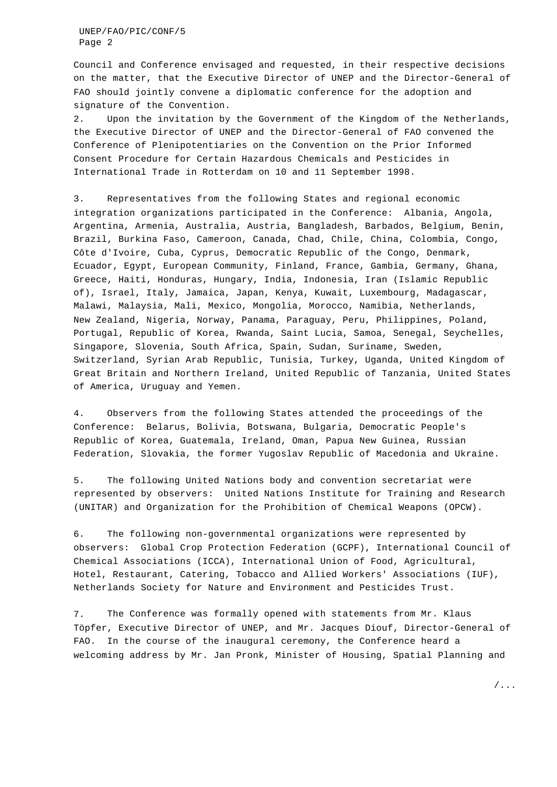Council and Conference envisaged and requested, in their respective decisions on the matter, that the Executive Director of UNEP and the Director-General of FAO should jointly convene a diplomatic conference for the adoption and signature of the Convention.

2. Upon the invitation by the Government of the Kingdom of the Netherlands, the Executive Director of UNEP and the Director-General of FAO convened the Conference of Plenipotentiaries on the Convention on the Prior Informed Consent Procedure for Certain Hazardous Chemicals and Pesticides in International Trade in Rotterdam on 10 and 11 September 1998.

3. Representatives from the following States and regional economic integration organizations participated in the Conference: Albania, Angola, Argentina, Armenia, Australia, Austria, Bangladesh, Barbados, Belgium, Benin, Brazil, Burkina Faso, Cameroon, Canada, Chad, Chile, China, Colombia, Congo, Côte d'Ivoire, Cuba, Cyprus, Democratic Republic of the Congo, Denmark, Ecuador, Egypt, European Community, Finland, France, Gambia, Germany, Ghana, Greece, Haiti, Honduras, Hungary, India, Indonesia, Iran (Islamic Republic of), Israel, Italy, Jamaica, Japan, Kenya, Kuwait, Luxembourg, Madagascar, Malawi, Malaysia, Mali, Mexico, Mongolia, Morocco, Namibia, Netherlands, New Zealand, Nigeria, Norway, Panama, Paraguay, Peru, Philippines, Poland, Portugal, Republic of Korea, Rwanda, Saint Lucia, Samoa, Senegal, Seychelles, Singapore, Slovenia, South Africa, Spain, Sudan, Suriname, Sweden, Switzerland, Syrian Arab Republic, Tunisia, Turkey, Uganda, United Kingdom of Great Britain and Northern Ireland, United Republic of Tanzania, United States of America, Uruguay and Yemen.

4. Observers from the following States attended the proceedings of the Conference: Belarus, Bolivia, Botswana, Bulgaria, Democratic People's Republic of Korea, Guatemala, Ireland, Oman, Papua New Guinea, Russian Federation, Slovakia, the former Yugoslav Republic of Macedonia and Ukraine.

5. The following United Nations body and convention secretariat were represented by observers: United Nations Institute for Training and Research (UNITAR) and Organization for the Prohibition of Chemical Weapons (OPCW).

6. The following non-governmental organizations were represented by observers: Global Crop Protection Federation (GCPF), International Council of Chemical Associations (ICCA), International Union of Food, Agricultural, Hotel, Restaurant, Catering, Tobacco and Allied Workers' Associations (IUF), Netherlands Society for Nature and Environment and Pesticides Trust.

7. The Conference was formally opened with statements from Mr. Klaus Töpfer, Executive Director of UNEP, and Mr. Jacques Diouf, Director-General of FAO. In the course of the inaugural ceremony, the Conference heard a welcoming address by Mr. Jan Pronk, Minister of Housing, Spatial Planning and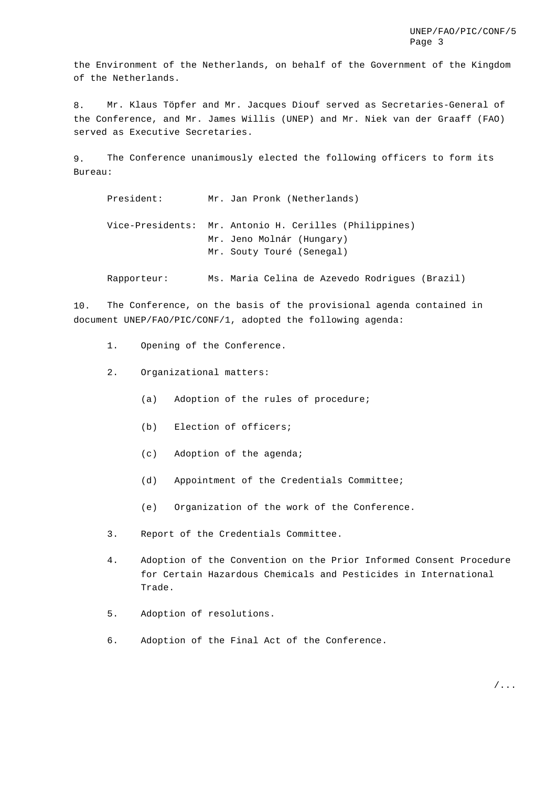the Environment of the Netherlands, on behalf of the Government of the Kingdom of the Netherlands.

8. Mr. Klaus Töpfer and Mr. Jacques Diouf served as Secretaries-General of the Conference, and Mr. James Willis (UNEP) and Mr. Niek van der Graaff (FAO) served as Executive Secretaries.

9. The Conference unanimously elected the following officers to form its Bureau:

| President: | Mr. Jan Pronk (Netherlands)                                                                                      |
|------------|------------------------------------------------------------------------------------------------------------------|
|            | Vice-Presidents: Mr. Antonio H. Cerilles (Philippines)<br>Mr. Jeno Molnár (Hungary)<br>Mr. Souty Touré (Senegal) |
|            |                                                                                                                  |

Rapporteur: Ms. Maria Celina de Azevedo Rodrigues (Brazil)

10. The Conference, on the basis of the provisional agenda contained in document UNEP/FAO/PIC/CONF/1, adopted the following agenda:

- 1. Opening of the Conference.
- 2. Organizational matters:
	- (a) Adoption of the rules of procedure;
	- (b) Election of officers;
	- (c) Adoption of the agenda;
	- (d) Appointment of the Credentials Committee;
	- (e) Organization of the work of the Conference.
- 3. Report of the Credentials Committee.
- 4. Adoption of the Convention on the Prior Informed Consent Procedure for Certain Hazardous Chemicals and Pesticides in International Trade.
- 5. Adoption of resolutions.
- 6. Adoption of the Final Act of the Conference.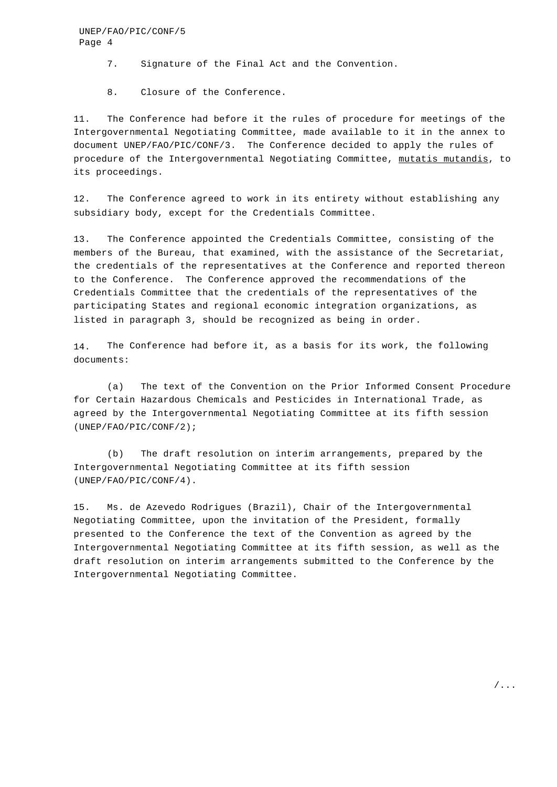7. Signature of the Final Act and the Convention.

8. Closure of the Conference.

11. The Conference had before it the rules of procedure for meetings of the Intergovernmental Negotiating Committee, made available to it in the annex to document UNEP/FAO/PIC/CONF/3. The Conference decided to apply the rules of procedure of the Intergovernmental Negotiating Committee, mutatis mutandis, to its proceedings.

12. The Conference agreed to work in its entirety without establishing any subsidiary body, except for the Credentials Committee.

13. The Conference appointed the Credentials Committee, consisting of the members of the Bureau, that examined, with the assistance of the Secretariat, the credentials of the representatives at the Conference and reported thereon to the Conference. The Conference approved the recommendations of the Credentials Committee that the credentials of the representatives of the participating States and regional economic integration organizations, as listed in paragraph 3, should be recognized as being in order.

14. The Conference had before it, as a basis for its work, the following documents:

(a) The text of the Convention on the Prior Informed Consent Procedure for Certain Hazardous Chemicals and Pesticides in International Trade, as agreed by the Intergovernmental Negotiating Committee at its fifth session (UNEP/FAO/PIC/CONF/2);

(b) The draft resolution on interim arrangements, prepared by the Intergovernmental Negotiating Committee at its fifth session (UNEP/FAO/PIC/CONF/4).

15. Ms. de Azevedo Rodrigues (Brazil), Chair of the Intergovernmental Negotiating Committee, upon the invitation of the President, formally presented to the Conference the text of the Convention as agreed by the Intergovernmental Negotiating Committee at its fifth session, as well as the draft resolution on interim arrangements submitted to the Conference by the Intergovernmental Negotiating Committee.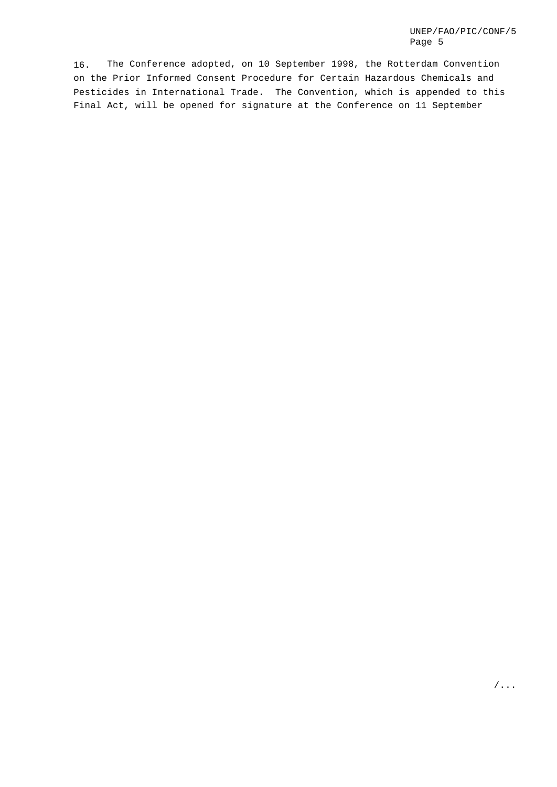16. The Conference adopted, on 10 September 1998, the Rotterdam Convention on the Prior Informed Consent Procedure for Certain Hazardous Chemicals and Pesticides in International Trade. The Convention, which is appended to this Final Act, will be opened for signature at the Conference on 11 September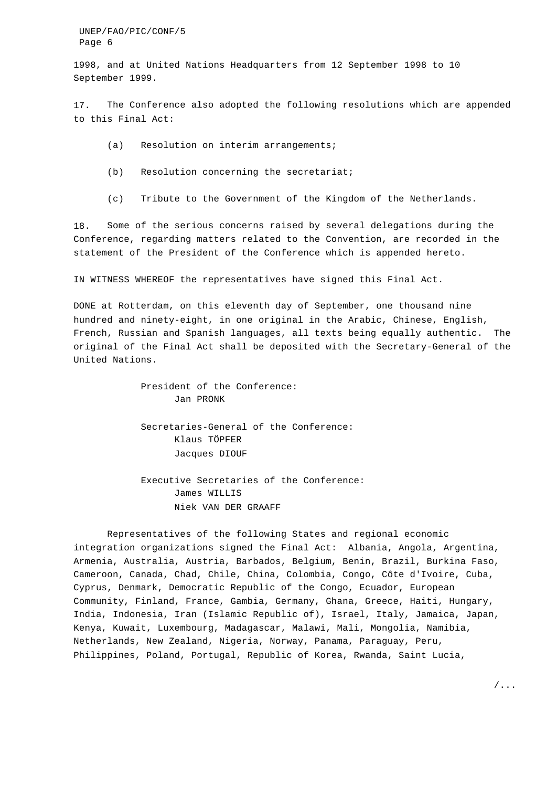1998, and at United Nations Headquarters from 12 September 1998 to 10 September 1999.

17. The Conference also adopted the following resolutions which are appended to this Final Act:

- (a) Resolution on interim arrangements;
- (b) Resolution concerning the secretariat;
- (c) Tribute to the Government of the Kingdom of the Netherlands.

18. Some of the serious concerns raised by several delegations during the Conference, regarding matters related to the Convention, are recorded in the statement of the President of the Conference which is appended hereto.

IN WITNESS WHEREOF the representatives have signed this Final Act.

DONE at Rotterdam, on this eleventh day of September, one thousand nine hundred and ninety-eight, in one original in the Arabic, Chinese, English, French, Russian and Spanish languages, all texts being equally authentic. The original of the Final Act shall be deposited with the Secretary-General of the United Nations.

> President of the Conference: Jan PRONK

Secretaries-General of the Conference: Klaus TÖPFER Jacques DIOUF

Executive Secretaries of the Conference: James WILLIS Niek VAN DER GRAAFF

Representatives of the following States and regional economic integration organizations signed the Final Act: Albania, Angola, Argentina, Armenia, Australia, Austria, Barbados, Belgium, Benin, Brazil, Burkina Faso, Cameroon, Canada, Chad, Chile, China, Colombia, Congo, Côte d'Ivoire, Cuba, Cyprus, Denmark, Democratic Republic of the Congo, Ecuador, European Community, Finland, France, Gambia, Germany, Ghana, Greece, Haiti, Hungary, India, Indonesia, Iran (Islamic Republic of), Israel, Italy, Jamaica, Japan, Kenya, Kuwait, Luxembourg, Madagascar, Malawi, Mali, Mongolia, Namibia, Netherlands, New Zealand, Nigeria, Norway, Panama, Paraguay, Peru, Philippines, Poland, Portugal, Republic of Korea, Rwanda, Saint Lucia,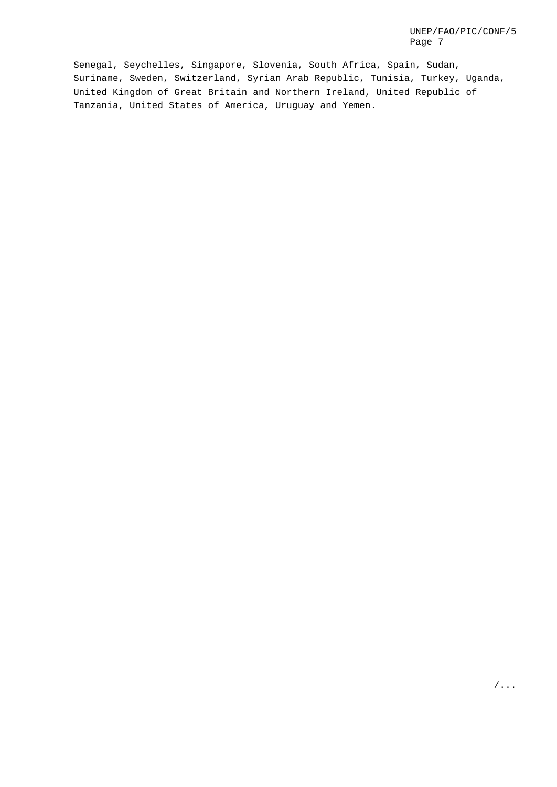Senegal, Seychelles, Singapore, Slovenia, South Africa, Spain, Sudan, Suriname, Sweden, Switzerland, Syrian Arab Republic, Tunisia, Turkey, Uganda, United Kingdom of Great Britain and Northern Ireland, United Republic of Tanzania, United States of America, Uruguay and Yemen.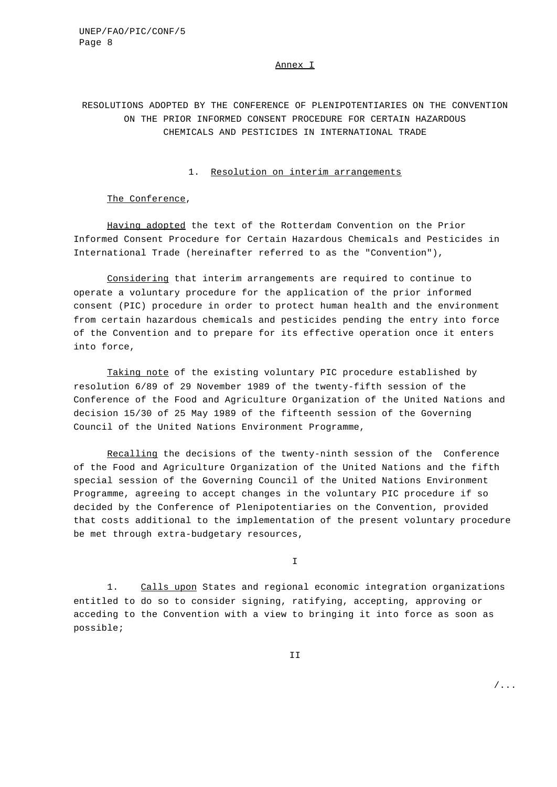#### Annex I

# RESOLUTIONS ADOPTED BY THE CONFERENCE OF PLENIPOTENTIARIES ON THE CONVENTION ON THE PRIOR INFORMED CONSENT PROCEDURE FOR CERTAIN HAZARDOUS CHEMICALS AND PESTICIDES IN INTERNATIONAL TRADE

### 1. Resolution on interim arrangements

### The Conference,

Having adopted the text of the Rotterdam Convention on the Prior Informed Consent Procedure for Certain Hazardous Chemicals and Pesticides in International Trade (hereinafter referred to as the "Convention"),

Considering that interim arrangements are required to continue to operate a voluntary procedure for the application of the prior informed consent (PIC) procedure in order to protect human health and the environment from certain hazardous chemicals and pesticides pending the entry into force of the Convention and to prepare for its effective operation once it enters into force,

Taking note of the existing voluntary PIC procedure established by resolution 6/89 of 29 November 1989 of the twenty-fifth session of the Conference of the Food and Agriculture Organization of the United Nations and decision 15/30 of 25 May 1989 of the fifteenth session of the Governing Council of the United Nations Environment Programme,

Recalling the decisions of the twenty-ninth session of the Conference of the Food and Agriculture Organization of the United Nations and the fifth special session of the Governing Council of the United Nations Environment Programme, agreeing to accept changes in the voluntary PIC procedure if so decided by the Conference of Plenipotentiaries on the Convention, provided that costs additional to the implementation of the present voluntary procedure be met through extra-budgetary resources,

I

1. Calls upon States and regional economic integration organizations entitled to do so to consider signing, ratifying, accepting, approving or acceding to the Convention with a view to bringing it into force as soon as possible;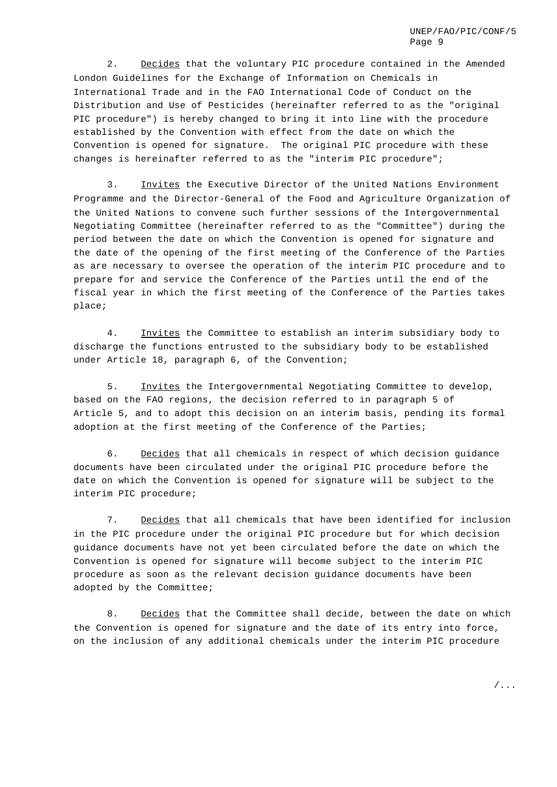2. Decides that the voluntary PIC procedure contained in the Amended London Guidelines for the Exchange of Information on Chemicals in International Trade and in the FAO International Code of Conduct on the Distribution and Use of Pesticides (hereinafter referred to as the "original PIC procedure") is hereby changed to bring it into line with the procedure established by the Convention with effect from the date on which the Convention is opened for signature. The original PIC procedure with these changes is hereinafter referred to as the "interim PIC procedure";

3. Invites the Executive Director of the United Nations Environment Programme and the Director-General of the Food and Agriculture Organization of the United Nations to convene such further sessions of the Intergovernmental Negotiating Committee (hereinafter referred to as the "Committee") during the period between the date on which the Convention is opened for signature and the date of the opening of the first meeting of the Conference of the Parties as are necessary to oversee the operation of the interim PIC procedure and to prepare for and service the Conference of the Parties until the end of the fiscal year in which the first meeting of the Conference of the Parties takes place;

4. Invites the Committee to establish an interim subsidiary body to discharge the functions entrusted to the subsidiary body to be established under Article 18, paragraph 6, of the Convention;

5. Invites the Intergovernmental Negotiating Committee to develop, based on the FAO regions, the decision referred to in paragraph 5 of Article 5, and to adopt this decision on an interim basis, pending its formal adoption at the first meeting of the Conference of the Parties;

6. Decides that all chemicals in respect of which decision guidance documents have been circulated under the original PIC procedure before the date on which the Convention is opened for signature will be subject to the interim PIC procedure;

7. Decides that all chemicals that have been identified for inclusion in the PIC procedure under the original PIC procedure but for which decision guidance documents have not yet been circulated before the date on which the Convention is opened for signature will become subject to the interim PIC procedure as soon as the relevant decision guidance documents have been adopted by the Committee;

8. Decides that the Committee shall decide, between the date on which the Convention is opened for signature and the date of its entry into force, on the inclusion of any additional chemicals under the interim PIC procedure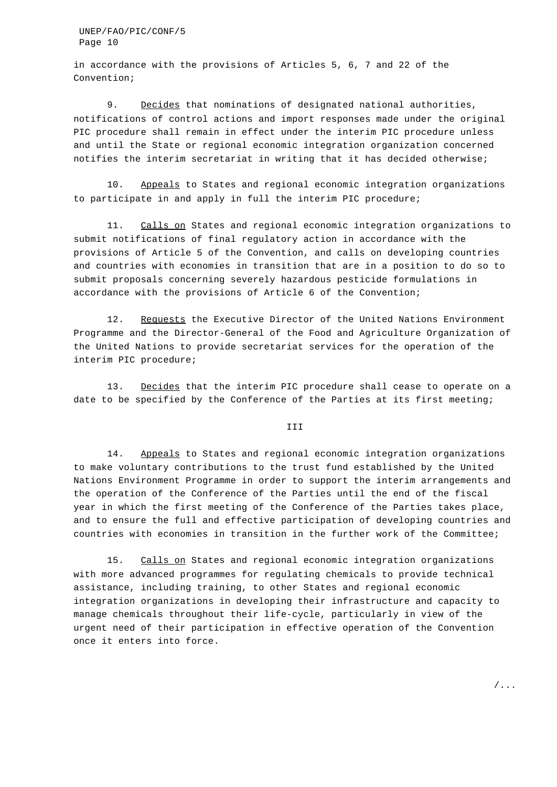in accordance with the provisions of Articles 5, 6, 7 and 22 of the Convention;

9. Decides that nominations of designated national authorities, notifications of control actions and import responses made under the original PIC procedure shall remain in effect under the interim PIC procedure unless and until the State or regional economic integration organization concerned notifies the interim secretariat in writing that it has decided otherwise;

10. Appeals to States and regional economic integration organizations to participate in and apply in full the interim PIC procedure;

11. Calls on States and regional economic integration organizations to submit notifications of final regulatory action in accordance with the provisions of Article 5 of the Convention, and calls on developing countries and countries with economies in transition that are in a position to do so to submit proposals concerning severely hazardous pesticide formulations in accordance with the provisions of Article 6 of the Convention;

12. Requests the Executive Director of the United Nations Environment Programme and the Director-General of the Food and Agriculture Organization of the United Nations to provide secretariat services for the operation of the interim PIC procedure;

13. Decides that the interim PIC procedure shall cease to operate on a date to be specified by the Conference of the Parties at its first meeting;

**III** 

14. Appeals to States and regional economic integration organizations to make voluntary contributions to the trust fund established by the United Nations Environment Programme in order to support the interim arrangements and the operation of the Conference of the Parties until the end of the fiscal year in which the first meeting of the Conference of the Parties takes place, and to ensure the full and effective participation of developing countries and countries with economies in transition in the further work of the Committee;

15. Calls on States and regional economic integration organizations with more advanced programmes for regulating chemicals to provide technical assistance, including training, to other States and regional economic integration organizations in developing their infrastructure and capacity to manage chemicals throughout their life-cycle, particularly in view of the urgent need of their participation in effective operation of the Convention once it enters into force.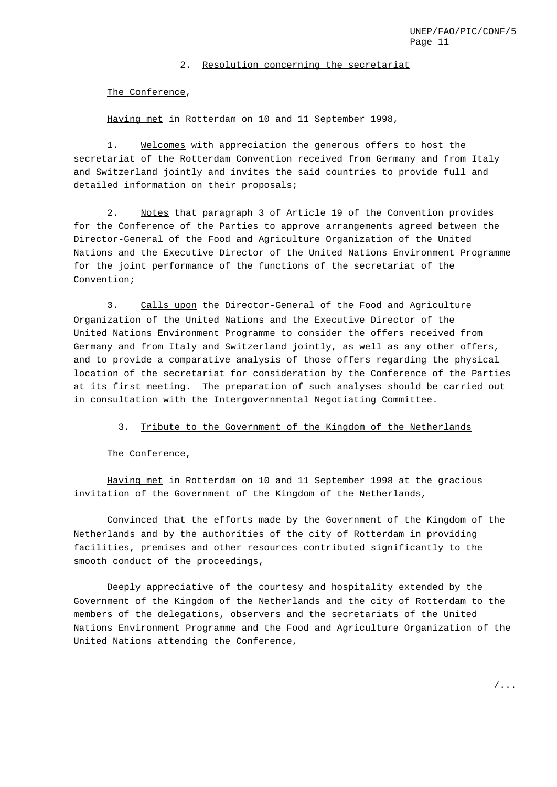### 2. Resolution concerning the secretariat

The Conference,

Having met in Rotterdam on 10 and 11 September 1998,

1. Welcomes with appreciation the generous offers to host the secretariat of the Rotterdam Convention received from Germany and from Italy and Switzerland jointly and invites the said countries to provide full and detailed information on their proposals;

2. Notes that paragraph 3 of Article 19 of the Convention provides for the Conference of the Parties to approve arrangements agreed between the Director-General of the Food and Agriculture Organization of the United Nations and the Executive Director of the United Nations Environment Programme for the joint performance of the functions of the secretariat of the Convention;

3. Calls upon the Director-General of the Food and Agriculture Organization of the United Nations and the Executive Director of the United Nations Environment Programme to consider the offers received from Germany and from Italy and Switzerland jointly, as well as any other offers, and to provide a comparative analysis of those offers regarding the physical location of the secretariat for consideration by the Conference of the Parties at its first meeting. The preparation of such analyses should be carried out in consultation with the Intergovernmental Negotiating Committee.

### 3. Tribute to the Government of the Kingdom of the Netherlands

### The Conference,

Having met in Rotterdam on 10 and 11 September 1998 at the gracious invitation of the Government of the Kingdom of the Netherlands,

Convinced that the efforts made by the Government of the Kingdom of the Netherlands and by the authorities of the city of Rotterdam in providing facilities, premises and other resources contributed significantly to the smooth conduct of the proceedings,

Deeply appreciative of the courtesy and hospitality extended by the Government of the Kingdom of the Netherlands and the city of Rotterdam to the members of the delegations, observers and the secretariats of the United Nations Environment Programme and the Food and Agriculture Organization of the United Nations attending the Conference,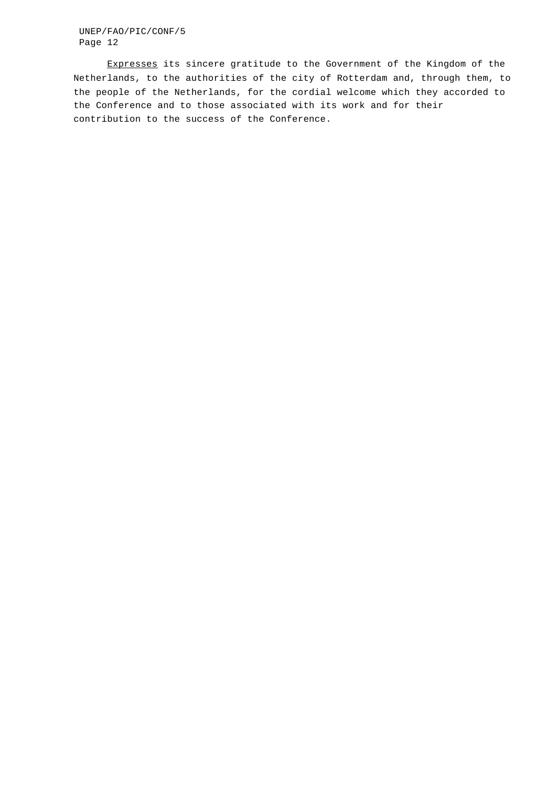Expresses its sincere gratitude to the Government of the Kingdom of the Netherlands, to the authorities of the city of Rotterdam and, through them, to the people of the Netherlands, for the cordial welcome which they accorded to the Conference and to those associated with its work and for their contribution to the success of the Conference.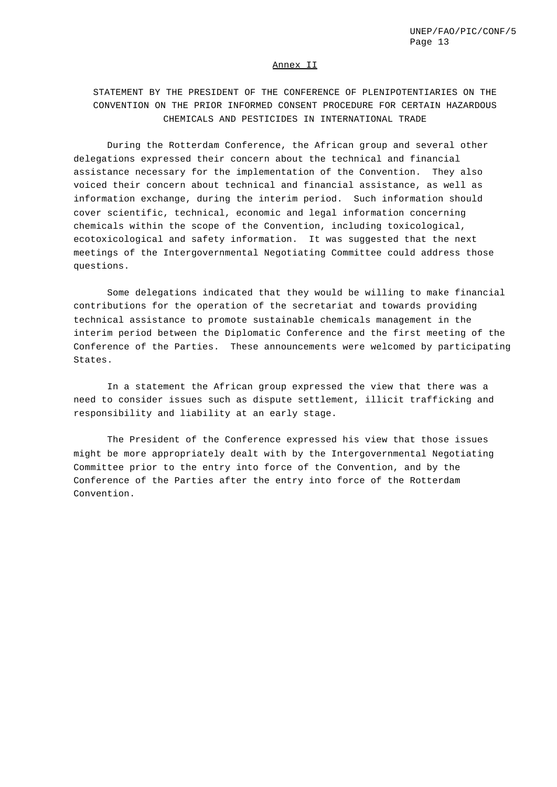### Annex II

STATEMENT BY THE PRESIDENT OF THE CONFERENCE OF PLENIPOTENTIARIES ON THE CONVENTION ON THE PRIOR INFORMED CONSENT PROCEDURE FOR CERTAIN HAZARDOUS CHEMICALS AND PESTICIDES IN INTERNATIONAL TRADE

During the Rotterdam Conference, the African group and several other delegations expressed their concern about the technical and financial assistance necessary for the implementation of the Convention. They also voiced their concern about technical and financial assistance, as well as information exchange, during the interim period. Such information should cover scientific, technical, economic and legal information concerning chemicals within the scope of the Convention, including toxicological, ecotoxicological and safety information. It was suggested that the next meetings of the Intergovernmental Negotiating Committee could address those questions.

Some delegations indicated that they would be willing to make financial contributions for the operation of the secretariat and towards providing technical assistance to promote sustainable chemicals management in the interim period between the Diplomatic Conference and the first meeting of the Conference of the Parties. These announcements were welcomed by participating States.

In a statement the African group expressed the view that there was a need to consider issues such as dispute settlement, illicit trafficking and responsibility and liability at an early stage.

The President of the Conference expressed his view that those issues might be more appropriately dealt with by the Intergovernmental Negotiating Committee prior to the entry into force of the Convention, and by the Conference of the Parties after the entry into force of the Rotterdam Convention.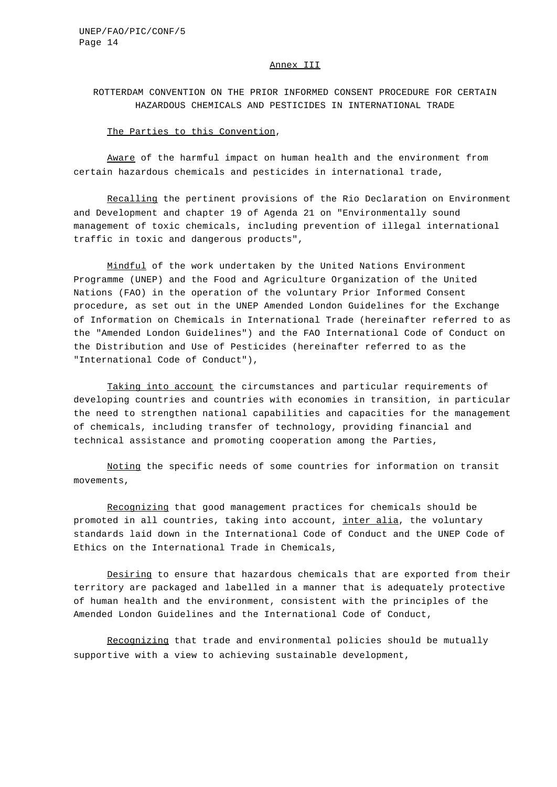#### Annex III

ROTTERDAM CONVENTION ON THE PRIOR INFORMED CONSENT PROCEDURE FOR CERTAIN HAZARDOUS CHEMICALS AND PESTICIDES IN INTERNATIONAL TRADE

#### The Parties to this Convention,

Aware of the harmful impact on human health and the environment from certain hazardous chemicals and pesticides in international trade,

Recalling the pertinent provisions of the Rio Declaration on Environment and Development and chapter 19 of Agenda 21 on "Environmentally sound management of toxic chemicals, including prevention of illegal international traffic in toxic and dangerous products",

Mindful of the work undertaken by the United Nations Environment Programme (UNEP) and the Food and Agriculture Organization of the United Nations (FAO) in the operation of the voluntary Prior Informed Consent procedure, as set out in the UNEP Amended London Guidelines for the Exchange of Information on Chemicals in International Trade (hereinafter referred to as the "Amended London Guidelines") and the FAO International Code of Conduct on the Distribution and Use of Pesticides (hereinafter referred to as the "International Code of Conduct"),

Taking into account the circumstances and particular requirements of developing countries and countries with economies in transition, in particular the need to strengthen national capabilities and capacities for the management of chemicals, including transfer of technology, providing financial and technical assistance and promoting cooperation among the Parties,

Noting the specific needs of some countries for information on transit movements,

Recognizing that good management practices for chemicals should be promoted in all countries, taking into account, inter alia, the voluntary standards laid down in the International Code of Conduct and the UNEP Code of Ethics on the International Trade in Chemicals,

Desiring to ensure that hazardous chemicals that are exported from their territory are packaged and labelled in a manner that is adequately protective of human health and the environment, consistent with the principles of the Amended London Guidelines and the International Code of Conduct,

Recognizing that trade and environmental policies should be mutually supportive with a view to achieving sustainable development,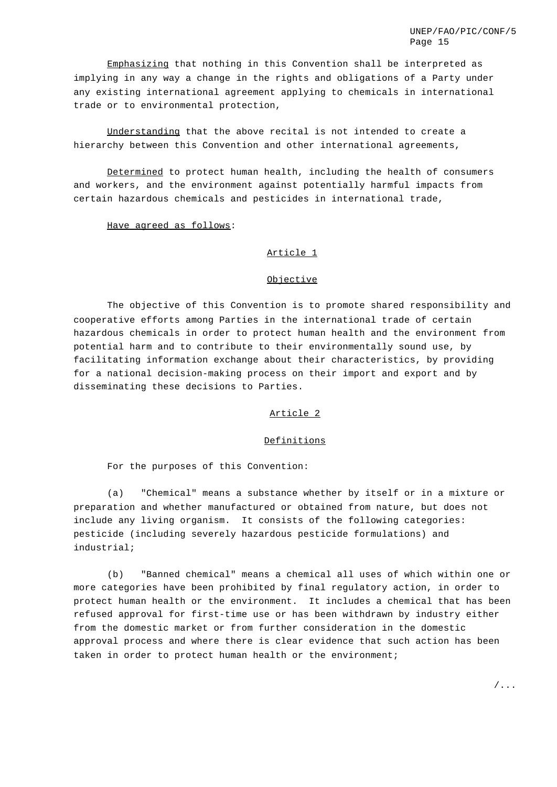Emphasizing that nothing in this Convention shall be interpreted as implying in any way a change in the rights and obligations of a Party under any existing international agreement applying to chemicals in international trade or to environmental protection,

Understanding that the above recital is not intended to create a hierarchy between this Convention and other international agreements,

Determined to protect human health, including the health of consumers and workers, and the environment against potentially harmful impacts from certain hazardous chemicals and pesticides in international trade,

Have agreed as follows:

#### Article 1

#### **Objective**

The objective of this Convention is to promote shared responsibility and cooperative efforts among Parties in the international trade of certain hazardous chemicals in order to protect human health and the environment from potential harm and to contribute to their environmentally sound use, by facilitating information exchange about their characteristics, by providing for a national decision-making process on their import and export and by disseminating these decisions to Parties.

#### Article 2

### Definitions

For the purposes of this Convention:

(a) "Chemical" means a substance whether by itself or in a mixture or preparation and whether manufactured or obtained from nature, but does not include any living organism. It consists of the following categories: pesticide (including severely hazardous pesticide formulations) and industrial;

(b) "Banned chemical" means a chemical all uses of which within one or more categories have been prohibited by final regulatory action, in order to protect human health or the environment. It includes a chemical that has been refused approval for first-time use or has been withdrawn by industry either from the domestic market or from further consideration in the domestic approval process and where there is clear evidence that such action has been taken in order to protect human health or the environment;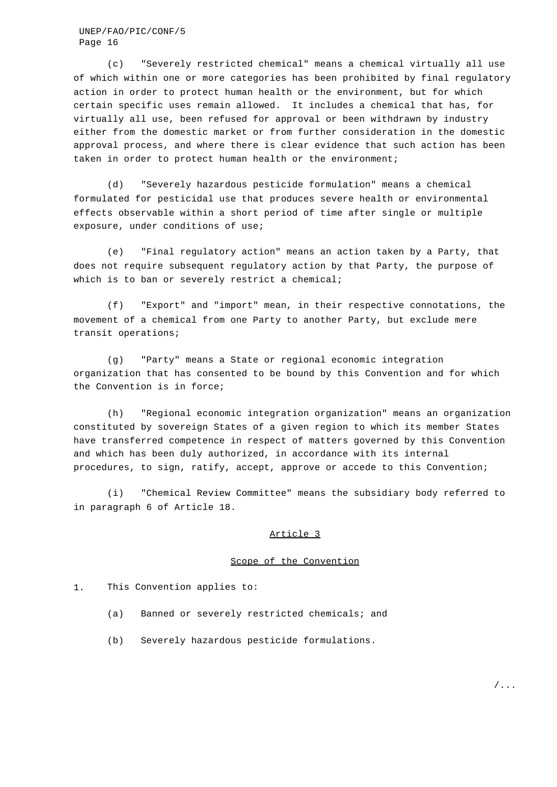(c) "Severely restricted chemical" means a chemical virtually all use of which within one or more categories has been prohibited by final regulatory action in order to protect human health or the environment, but for which certain specific uses remain allowed. It includes a chemical that has, for virtually all use, been refused for approval or been withdrawn by industry either from the domestic market or from further consideration in the domestic approval process, and where there is clear evidence that such action has been taken in order to protect human health or the environment;

(d) "Severely hazardous pesticide formulation" means a chemical formulated for pesticidal use that produces severe health or environmental effects observable within a short period of time after single or multiple exposure, under conditions of use;

(e) "Final regulatory action" means an action taken by a Party, that does not require subsequent regulatory action by that Party, the purpose of which is to ban or severely restrict a chemical;

(f) "Export" and "import" mean, in their respective connotations, the movement of a chemical from one Party to another Party, but exclude mere transit operations;

(g) "Party" means a State or regional economic integration organization that has consented to be bound by this Convention and for which the Convention is in force;

(h) "Regional economic integration organization" means an organization constituted by sovereign States of a given region to which its member States have transferred competence in respect of matters governed by this Convention and which has been duly authorized, in accordance with its internal procedures, to sign, ratify, accept, approve or accede to this Convention;

(i) "Chemical Review Committee" means the subsidiary body referred to in paragraph 6 of Article 18.

#### Article 3

#### Scope of the Convention

1. This Convention applies to:

- (a) Banned or severely restricted chemicals; and
- (b) Severely hazardous pesticide formulations.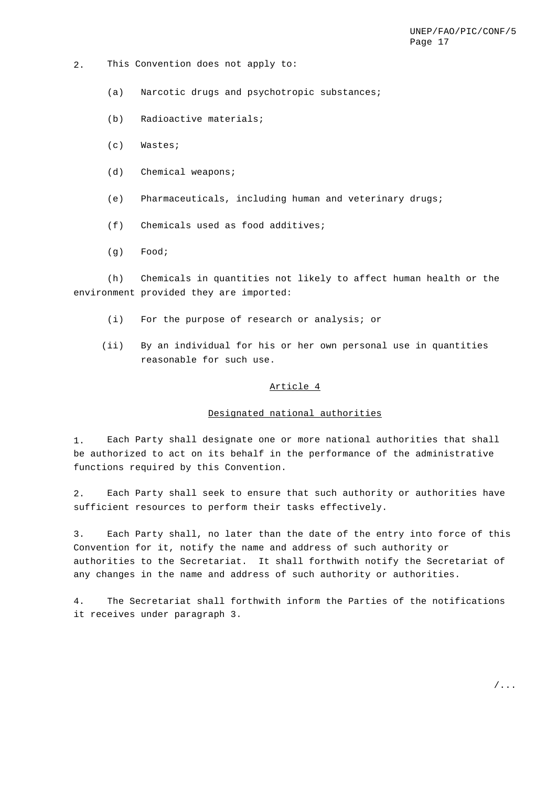### 2. This Convention does not apply to:

- (a) Narcotic drugs and psychotropic substances;
- (b) Radioactive materials;
- (c) Wastes;
- (d) Chemical weapons;
- (e) Pharmaceuticals, including human and veterinary drugs;
- (f) Chemicals used as food additives;
- (g) Food;

(h) Chemicals in quantities not likely to affect human health or the environment provided they are imported:

- (i) For the purpose of research or analysis; or
- (ii) By an individual for his or her own personal use in quantities reasonable for such use.

### Article 4

### Designated national authorities

1. Each Party shall designate one or more national authorities that shall be authorized to act on its behalf in the performance of the administrative functions required by this Convention.

2. Each Party shall seek to ensure that such authority or authorities have sufficient resources to perform their tasks effectively.

3. Each Party shall, no later than the date of the entry into force of this Convention for it, notify the name and address of such authority or authorities to the Secretariat. It shall forthwith notify the Secretariat of any changes in the name and address of such authority or authorities.

4. The Secretariat shall forthwith inform the Parties of the notifications it receives under paragraph 3.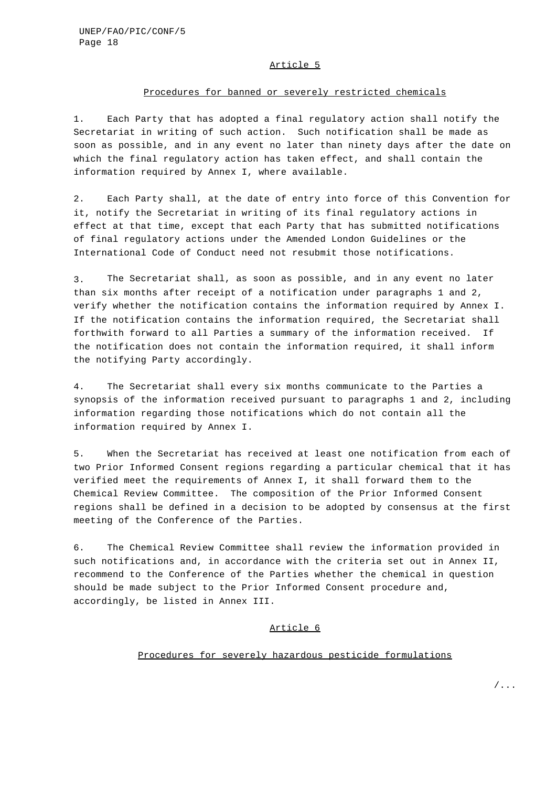### Article 5

### Procedures for banned or severely restricted chemicals

1. Each Party that has adopted a final regulatory action shall notify the Secretariat in writing of such action. Such notification shall be made as soon as possible, and in any event no later than ninety days after the date on which the final regulatory action has taken effect, and shall contain the information required by Annex I, where available.

2. Each Party shall, at the date of entry into force of this Convention for it, notify the Secretariat in writing of its final regulatory actions in effect at that time, except that each Party that has submitted notifications of final regulatory actions under the Amended London Guidelines or the International Code of Conduct need not resubmit those notifications.

3. The Secretariat shall, as soon as possible, and in any event no later than six months after receipt of a notification under paragraphs 1 and 2, verify whether the notification contains the information required by Annex I. If the notification contains the information required, the Secretariat shall forthwith forward to all Parties a summary of the information received. If the notification does not contain the information required, it shall inform the notifying Party accordingly.

4. The Secretariat shall every six months communicate to the Parties a synopsis of the information received pursuant to paragraphs 1 and 2, including information regarding those notifications which do not contain all the information required by Annex I.

5. When the Secretariat has received at least one notification from each of two Prior Informed Consent regions regarding a particular chemical that it has verified meet the requirements of Annex I, it shall forward them to the Chemical Review Committee. The composition of the Prior Informed Consent regions shall be defined in a decision to be adopted by consensus at the first meeting of the Conference of the Parties.

6. The Chemical Review Committee shall review the information provided in such notifications and, in accordance with the criteria set out in Annex II, recommend to the Conference of the Parties whether the chemical in question should be made subject to the Prior Informed Consent procedure and, accordingly, be listed in Annex III.

### Article 6

#### Procedures for severely hazardous pesticide formulations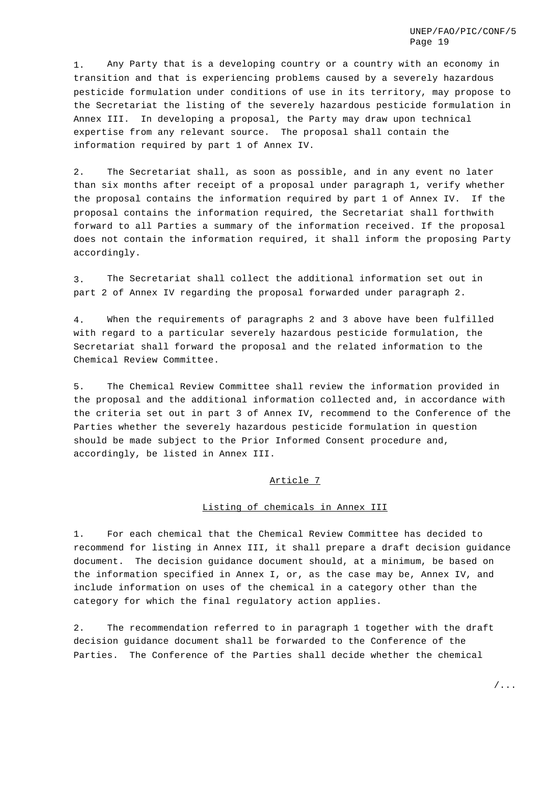1. Any Party that is a developing country or a country with an economy in transition and that is experiencing problems caused by a severely hazardous pesticide formulation under conditions of use in its territory, may propose to the Secretariat the listing of the severely hazardous pesticide formulation in Annex III. In developing a proposal, the Party may draw upon technical expertise from any relevant source. The proposal shall contain the information required by part 1 of Annex IV.

2. The Secretariat shall, as soon as possible, and in any event no later than six months after receipt of a proposal under paragraph 1, verify whether the proposal contains the information required by part 1 of Annex IV. If the proposal contains the information required, the Secretariat shall forthwith forward to all Parties a summary of the information received. If the proposal does not contain the information required, it shall inform the proposing Party accordingly.

3. The Secretariat shall collect the additional information set out in part 2 of Annex IV regarding the proposal forwarded under paragraph 2.

4. When the requirements of paragraphs 2 and 3 above have been fulfilled with regard to a particular severely hazardous pesticide formulation, the Secretariat shall forward the proposal and the related information to the Chemical Review Committee.

5. The Chemical Review Committee shall review the information provided in the proposal and the additional information collected and, in accordance with the criteria set out in part 3 of Annex IV, recommend to the Conference of the Parties whether the severely hazardous pesticide formulation in question should be made subject to the Prior Informed Consent procedure and, accordingly, be listed in Annex III.

### Article 7

# Listing of chemicals in Annex III

1. For each chemical that the Chemical Review Committee has decided to recommend for listing in Annex III, it shall prepare a draft decision guidance document. The decision guidance document should, at a minimum, be based on the information specified in Annex I, or, as the case may be, Annex IV, and include information on uses of the chemical in a category other than the category for which the final regulatory action applies.

2. The recommendation referred to in paragraph 1 together with the draft decision guidance document shall be forwarded to the Conference of the Parties. The Conference of the Parties shall decide whether the chemical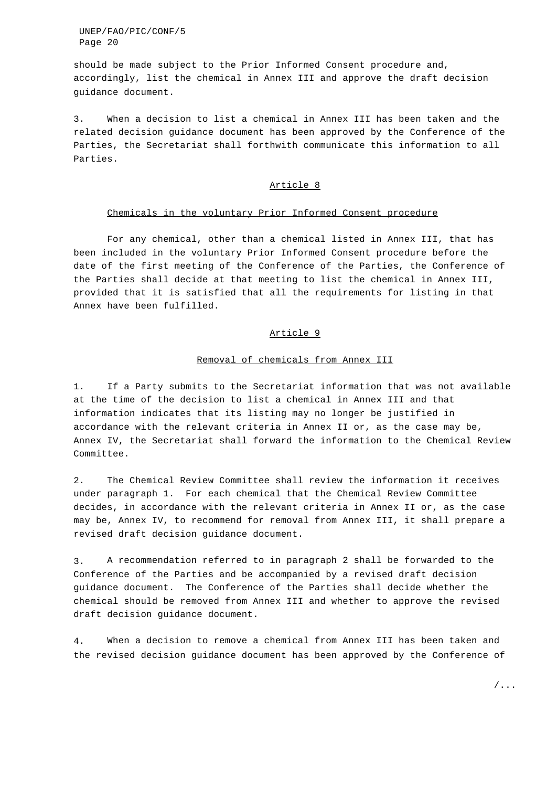should be made subject to the Prior Informed Consent procedure and, accordingly, list the chemical in Annex III and approve the draft decision guidance document.

3. When a decision to list a chemical in Annex III has been taken and the related decision guidance document has been approved by the Conference of the Parties, the Secretariat shall forthwith communicate this information to all Parties.

#### Article 8

### Chemicals in the voluntary Prior Informed Consent procedure

For any chemical, other than a chemical listed in Annex III, that has been included in the voluntary Prior Informed Consent procedure before the date of the first meeting of the Conference of the Parties, the Conference of the Parties shall decide at that meeting to list the chemical in Annex III, provided that it is satisfied that all the requirements for listing in that Annex have been fulfilled.

### Article 9

### Removal of chemicals from Annex III

1. If a Party submits to the Secretariat information that was not available at the time of the decision to list a chemical in Annex III and that information indicates that its listing may no longer be justified in accordance with the relevant criteria in Annex II or, as the case may be, Annex IV, the Secretariat shall forward the information to the Chemical Review Committee.

2. The Chemical Review Committee shall review the information it receives under paragraph 1. For each chemical that the Chemical Review Committee decides, in accordance with the relevant criteria in Annex II or, as the case may be, Annex IV, to recommend for removal from Annex III, it shall prepare a revised draft decision guidance document.

3. A recommendation referred to in paragraph 2 shall be forwarded to the Conference of the Parties and be accompanied by a revised draft decision guidance document. The Conference of the Parties shall decide whether the chemical should be removed from Annex III and whether to approve the revised draft decision guidance document.

4. When a decision to remove a chemical from Annex III has been taken and the revised decision guidance document has been approved by the Conference of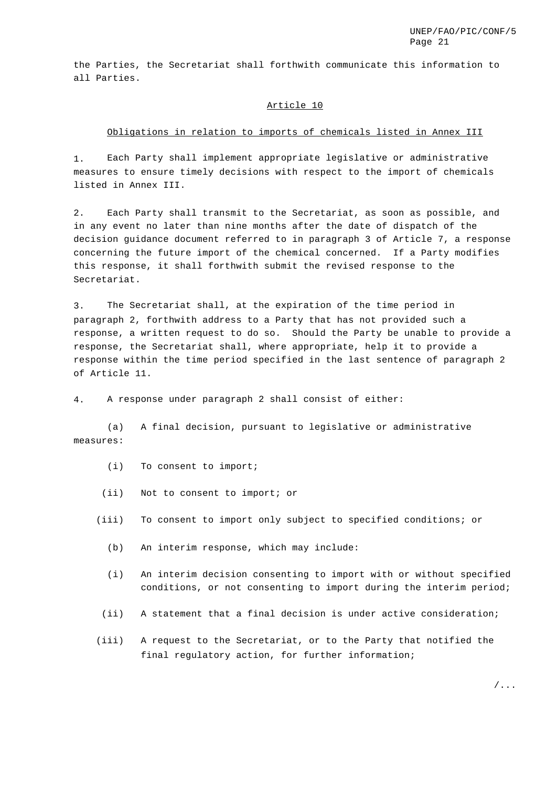the Parties, the Secretariat shall forthwith communicate this information to all Parties.

### Article 10

### Obligations in relation to imports of chemicals listed in Annex III

1. Each Party shall implement appropriate legislative or administrative measures to ensure timely decisions with respect to the import of chemicals listed in Annex III.

2. Each Party shall transmit to the Secretariat, as soon as possible, and in any event no later than nine months after the date of dispatch of the decision guidance document referred to in paragraph 3 of Article 7, a response concerning the future import of the chemical concerned. If a Party modifies this response, it shall forthwith submit the revised response to the Secretariat.

3. The Secretariat shall, at the expiration of the time period in paragraph 2, forthwith address to a Party that has not provided such a response, a written request to do so. Should the Party be unable to provide a response, the Secretariat shall, where appropriate, help it to provide a response within the time period specified in the last sentence of paragraph 2 of Article 11.

4. A response under paragraph 2 shall consist of either:

(a) A final decision, pursuant to legislative or administrative measures:

- (i) To consent to import;
- (ii) Not to consent to import; or
- (iii) To consent to import only subject to specified conditions; or
	- (b) An interim response, which may include:
	- (i) An interim decision consenting to import with or without specified conditions, or not consenting to import during the interim period;
- (ii) A statement that a final decision is under active consideration;
- (iii) A request to the Secretariat, or to the Party that notified the final regulatory action, for further information;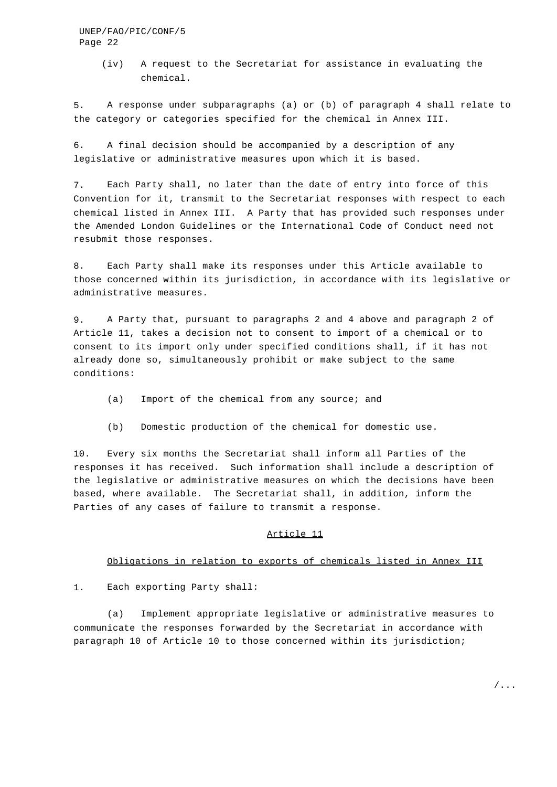> (iv) A request to the Secretariat for assistance in evaluating the chemical.

5. A response under subparagraphs (a) or (b) of paragraph 4 shall relate to the category or categories specified for the chemical in Annex III.

6. A final decision should be accompanied by a description of any legislative or administrative measures upon which it is based.

7. Each Party shall, no later than the date of entry into force of this Convention for it, transmit to the Secretariat responses with respect to each chemical listed in Annex III. A Party that has provided such responses under the Amended London Guidelines or the International Code of Conduct need not resubmit those responses.

8. Each Party shall make its responses under this Article available to those concerned within its jurisdiction, in accordance with its legislative or administrative measures.

9. A Party that, pursuant to paragraphs 2 and 4 above and paragraph 2 of Article 11, takes a decision not to consent to import of a chemical or to consent to its import only under specified conditions shall, if it has not already done so, simultaneously prohibit or make subject to the same conditions:

- (a) Import of the chemical from any source; and
- (b) Domestic production of the chemical for domestic use.

10. Every six months the Secretariat shall inform all Parties of the responses it has received. Such information shall include a description of the legislative or administrative measures on which the decisions have been based, where available. The Secretariat shall, in addition, inform the Parties of any cases of failure to transmit a response.

#### Article 11

### Obligations in relation to exports of chemicals listed in Annex III

1. Each exporting Party shall:

(a) Implement appropriate legislative or administrative measures to communicate the responses forwarded by the Secretariat in accordance with paragraph 10 of Article 10 to those concerned within its jurisdiction;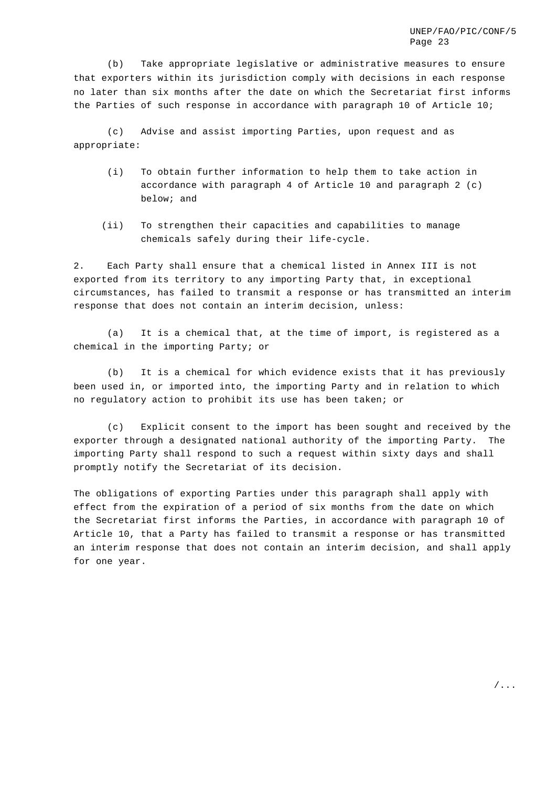(b) Take appropriate legislative or administrative measures to ensure that exporters within its jurisdiction comply with decisions in each response no later than six months after the date on which the Secretariat first informs the Parties of such response in accordance with paragraph 10 of Article 10;

(c) Advise and assist importing Parties, upon request and as appropriate:

- (i) To obtain further information to help them to take action in accordance with paragraph 4 of Article 10 and paragraph 2 (c) below; and
- (ii) To strengthen their capacities and capabilities to manage chemicals safely during their life-cycle.

2. Each Party shall ensure that a chemical listed in Annex III is not exported from its territory to any importing Party that, in exceptional circumstances, has failed to transmit a response or has transmitted an interim response that does not contain an interim decision, unless:

(a) It is a chemical that, at the time of import, is registered as a chemical in the importing Party; or

(b) It is a chemical for which evidence exists that it has previously been used in, or imported into, the importing Party and in relation to which no regulatory action to prohibit its use has been taken; or

(c) Explicit consent to the import has been sought and received by the exporter through a designated national authority of the importing Party. The importing Party shall respond to such a request within sixty days and shall promptly notify the Secretariat of its decision.

The obligations of exporting Parties under this paragraph shall apply with effect from the expiration of a period of six months from the date on which the Secretariat first informs the Parties, in accordance with paragraph 10 of Article 10, that a Party has failed to transmit a response or has transmitted an interim response that does not contain an interim decision, and shall apply for one year.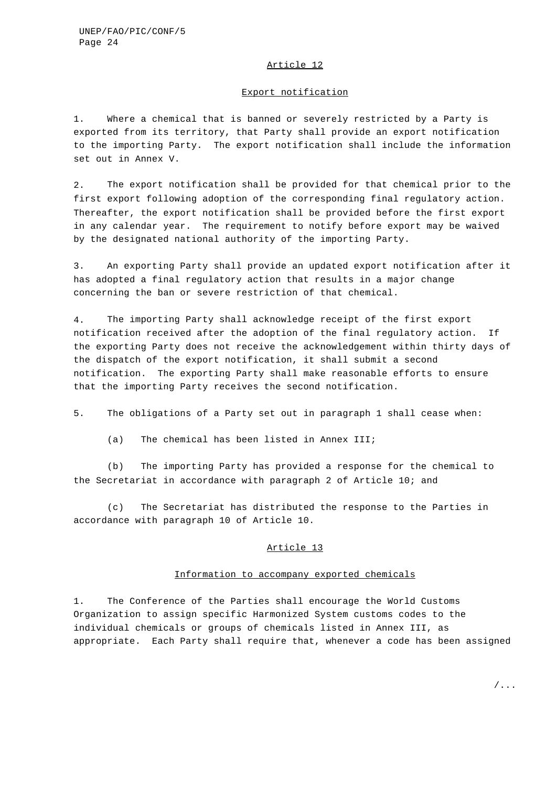### Article 12

### Export notification

1. Where a chemical that is banned or severely restricted by a Party is exported from its territory, that Party shall provide an export notification to the importing Party. The export notification shall include the information set out in Annex V.

2. The export notification shall be provided for that chemical prior to the first export following adoption of the corresponding final regulatory action. Thereafter, the export notification shall be provided before the first export in any calendar year. The requirement to notify before export may be waived by the designated national authority of the importing Party.

3. An exporting Party shall provide an updated export notification after it has adopted a final regulatory action that results in a major change concerning the ban or severe restriction of that chemical.

4. The importing Party shall acknowledge receipt of the first export notification received after the adoption of the final regulatory action. If the exporting Party does not receive the acknowledgement within thirty days of the dispatch of the export notification, it shall submit a second notification. The exporting Party shall make reasonable efforts to ensure that the importing Party receives the second notification.

5. The obligations of a Party set out in paragraph 1 shall cease when:

(a) The chemical has been listed in Annex III;

(b) The importing Party has provided a response for the chemical to the Secretariat in accordance with paragraph 2 of Article 10; and

(c) The Secretariat has distributed the response to the Parties in accordance with paragraph 10 of Article 10.

#### Article 13

### Information to accompany exported chemicals

1. The Conference of the Parties shall encourage the World Customs Organization to assign specific Harmonized System customs codes to the individual chemicals or groups of chemicals listed in Annex III, as appropriate. Each Party shall require that, whenever a code has been assigned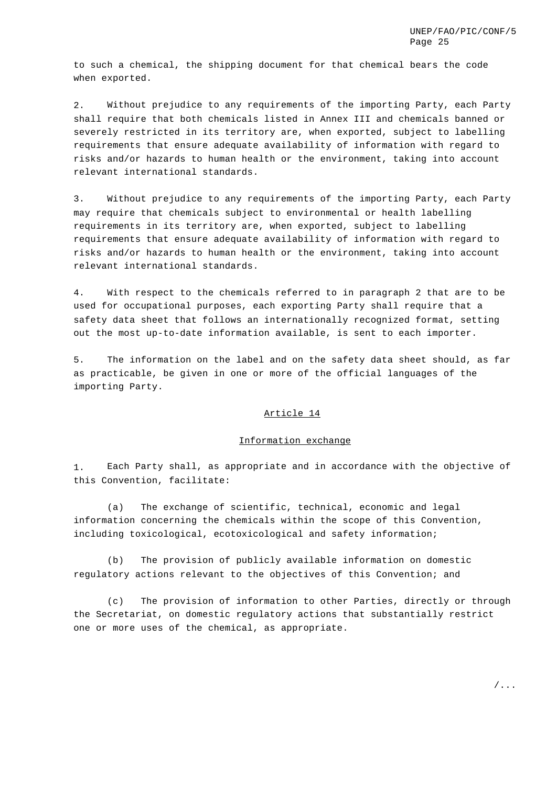to such a chemical, the shipping document for that chemical bears the code when exported.

2. Without prejudice to any requirements of the importing Party, each Party shall require that both chemicals listed in Annex III and chemicals banned or severely restricted in its territory are, when exported, subject to labelling requirements that ensure adequate availability of information with regard to risks and/or hazards to human health or the environment, taking into account relevant international standards.

3. Without prejudice to any requirements of the importing Party, each Party may require that chemicals subject to environmental or health labelling requirements in its territory are, when exported, subject to labelling requirements that ensure adequate availability of information with regard to risks and/or hazards to human health or the environment, taking into account relevant international standards.

4. With respect to the chemicals referred to in paragraph 2 that are to be used for occupational purposes, each exporting Party shall require that a safety data sheet that follows an internationally recognized format, setting out the most up-to-date information available, is sent to each importer.

5. The information on the label and on the safety data sheet should, as far as practicable, be given in one or more of the official languages of the importing Party.

### Article 14

#### Information exchange

1. Each Party shall, as appropriate and in accordance with the objective of this Convention, facilitate:

(a) The exchange of scientific, technical, economic and legal information concerning the chemicals within the scope of this Convention, including toxicological, ecotoxicological and safety information;

(b) The provision of publicly available information on domestic regulatory actions relevant to the objectives of this Convention; and

(c) The provision of information to other Parties, directly or through the Secretariat, on domestic regulatory actions that substantially restrict one or more uses of the chemical, as appropriate.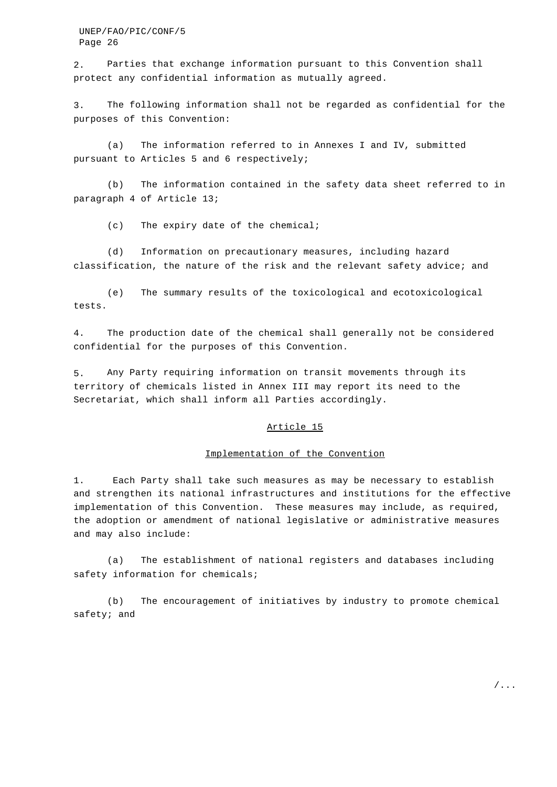2. Parties that exchange information pursuant to this Convention shall protect any confidential information as mutually agreed.

3. The following information shall not be regarded as confidential for the purposes of this Convention:

(a) The information referred to in Annexes I and IV, submitted pursuant to Articles 5 and 6 respectively;

(b) The information contained in the safety data sheet referred to in paragraph 4 of Article 13;

(c) The expiry date of the chemical;

(d) Information on precautionary measures, including hazard classification, the nature of the risk and the relevant safety advice; and

(e) The summary results of the toxicological and ecotoxicological tests.

4. The production date of the chemical shall generally not be considered confidential for the purposes of this Convention.

5. Any Party requiring information on transit movements through its territory of chemicals listed in Annex III may report its need to the Secretariat, which shall inform all Parties accordingly.

#### Article 15

#### Implementation of the Convention

1. Each Party shall take such measures as may be necessary to establish and strengthen its national infrastructures and institutions for the effective implementation of this Convention. These measures may include, as required, the adoption or amendment of national legislative or administrative measures and may also include:

(a) The establishment of national registers and databases including safety information for chemicals;

(b) The encouragement of initiatives by industry to promote chemical safety; and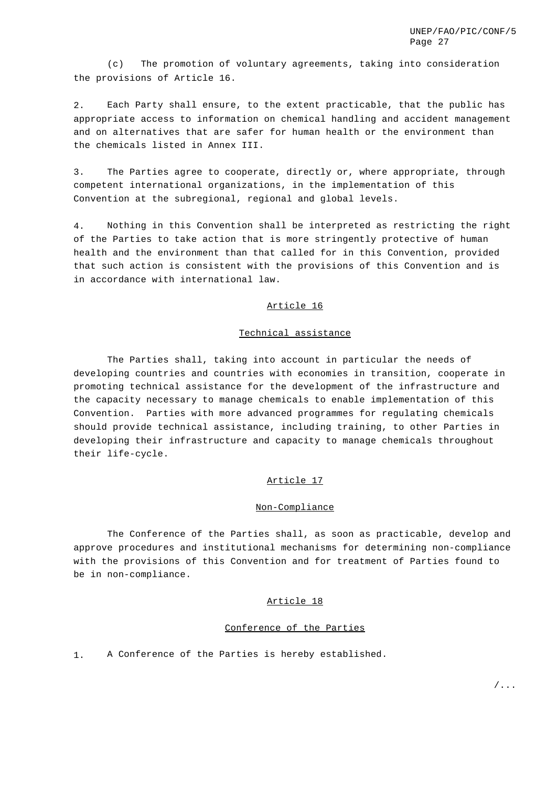(c) The promotion of voluntary agreements, taking into consideration the provisions of Article 16.

2. Each Party shall ensure, to the extent practicable, that the public has appropriate access to information on chemical handling and accident management and on alternatives that are safer for human health or the environment than the chemicals listed in Annex III.

3. The Parties agree to cooperate, directly or, where appropriate, through competent international organizations, in the implementation of this Convention at the subregional, regional and global levels.

4. Nothing in this Convention shall be interpreted as restricting the right of the Parties to take action that is more stringently protective of human health and the environment than that called for in this Convention, provided that such action is consistent with the provisions of this Convention and is in accordance with international law.

### Article 16

### Technical assistance

The Parties shall, taking into account in particular the needs of developing countries and countries with economies in transition, cooperate in promoting technical assistance for the development of the infrastructure and the capacity necessary to manage chemicals to enable implementation of this Convention. Parties with more advanced programmes for regulating chemicals should provide technical assistance, including training, to other Parties in developing their infrastructure and capacity to manage chemicals throughout their life-cycle.

### Article 17

### Non-Compliance

The Conference of the Parties shall, as soon as practicable, develop and approve procedures and institutional mechanisms for determining non-compliance with the provisions of this Convention and for treatment of Parties found to be in non-compliance.

### Article 18

## Conference of the Parties

1. A Conference of the Parties is hereby established.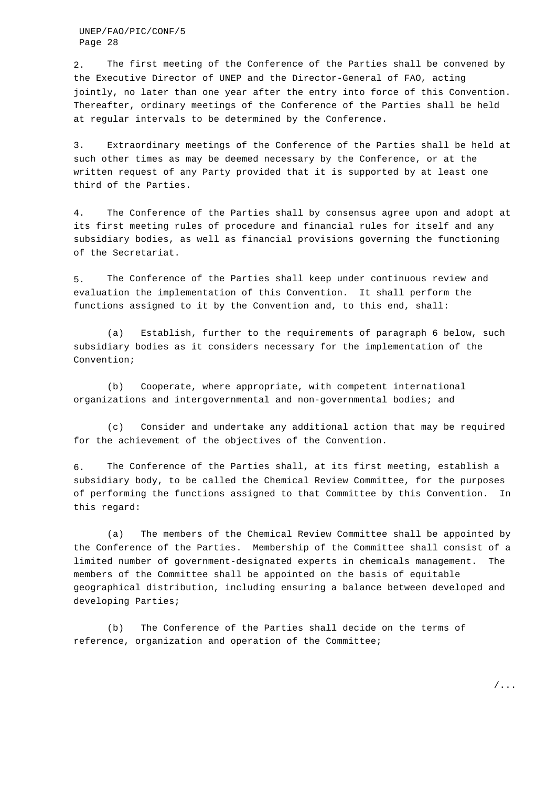2. The first meeting of the Conference of the Parties shall be convened by the Executive Director of UNEP and the Director-General of FAO, acting jointly, no later than one year after the entry into force of this Convention. Thereafter, ordinary meetings of the Conference of the Parties shall be held at regular intervals to be determined by the Conference.

3. Extraordinary meetings of the Conference of the Parties shall be held at such other times as may be deemed necessary by the Conference, or at the written request of any Party provided that it is supported by at least one third of the Parties.

4. The Conference of the Parties shall by consensus agree upon and adopt at its first meeting rules of procedure and financial rules for itself and any subsidiary bodies, as well as financial provisions governing the functioning of the Secretariat.

5. The Conference of the Parties shall keep under continuous review and evaluation the implementation of this Convention. It shall perform the functions assigned to it by the Convention and, to this end, shall:

(a) Establish, further to the requirements of paragraph 6 below, such subsidiary bodies as it considers necessary for the implementation of the Convention;

(b) Cooperate, where appropriate, with competent international organizations and intergovernmental and non-governmental bodies; and

(c) Consider and undertake any additional action that may be required for the achievement of the objectives of the Convention.

6. The Conference of the Parties shall, at its first meeting, establish a subsidiary body, to be called the Chemical Review Committee, for the purposes of performing the functions assigned to that Committee by this Convention. In this regard:

(a) The members of the Chemical Review Committee shall be appointed by the Conference of the Parties. Membership of the Committee shall consist of a limited number of government-designated experts in chemicals management. The members of the Committee shall be appointed on the basis of equitable geographical distribution, including ensuring a balance between developed and developing Parties;

(b) The Conference of the Parties shall decide on the terms of reference, organization and operation of the Committee;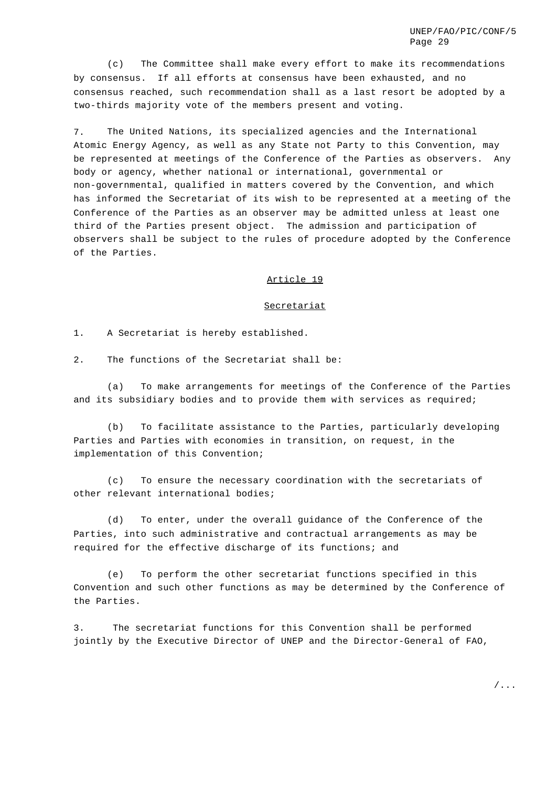(c) The Committee shall make every effort to make its recommendations by consensus. If all efforts at consensus have been exhausted, and no consensus reached, such recommendation shall as a last resort be adopted by a two-thirds majority vote of the members present and voting.

7. The United Nations, its specialized agencies and the International Atomic Energy Agency, as well as any State not Party to this Convention, may be represented at meetings of the Conference of the Parties as observers. Any body or agency, whether national or international, governmental or non-governmental, qualified in matters covered by the Convention, and which has informed the Secretariat of its wish to be represented at a meeting of the Conference of the Parties as an observer may be admitted unless at least one third of the Parties present object. The admission and participation of observers shall be subject to the rules of procedure adopted by the Conference of the Parties.

#### Article 19

#### **Secretariat**

1. A Secretariat is hereby established.

2. The functions of the Secretariat shall be:

(a) To make arrangements for meetings of the Conference of the Parties and its subsidiary bodies and to provide them with services as required;

(b) To facilitate assistance to the Parties, particularly developing Parties and Parties with economies in transition, on request, in the implementation of this Convention;

(c) To ensure the necessary coordination with the secretariats of other relevant international bodies;

(d) To enter, under the overall guidance of the Conference of the Parties, into such administrative and contractual arrangements as may be required for the effective discharge of its functions; and

(e) To perform the other secretariat functions specified in this Convention and such other functions as may be determined by the Conference of the Parties.

3. The secretariat functions for this Convention shall be performed jointly by the Executive Director of UNEP and the Director-General of FAO,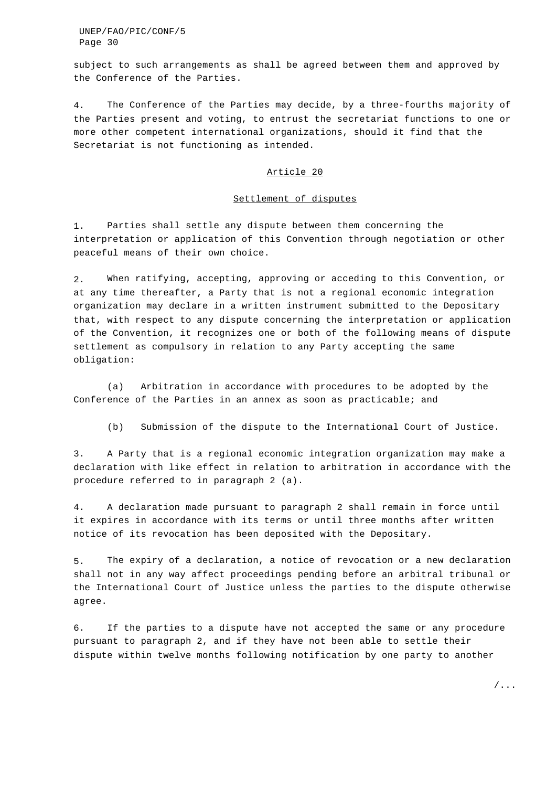subject to such arrangements as shall be agreed between them and approved by the Conference of the Parties.

4. The Conference of the Parties may decide, by a three-fourths majority of the Parties present and voting, to entrust the secretariat functions to one or more other competent international organizations, should it find that the Secretariat is not functioning as intended.

#### Article 20

### Settlement of disputes

1. Parties shall settle any dispute between them concerning the interpretation or application of this Convention through negotiation or other peaceful means of their own choice.

2. When ratifying, accepting, approving or acceding to this Convention, or at any time thereafter, a Party that is not a regional economic integration organization may declare in a written instrument submitted to the Depositary that, with respect to any dispute concerning the interpretation or application of the Convention, it recognizes one or both of the following means of dispute settlement as compulsory in relation to any Party accepting the same obligation:

(a) Arbitration in accordance with procedures to be adopted by the Conference of the Parties in an annex as soon as practicable; and

(b) Submission of the dispute to the International Court of Justice.

3. A Party that is a regional economic integration organization may make a declaration with like effect in relation to arbitration in accordance with the procedure referred to in paragraph 2 (a).

4. A declaration made pursuant to paragraph 2 shall remain in force until it expires in accordance with its terms or until three months after written notice of its revocation has been deposited with the Depositary.

5. The expiry of a declaration, a notice of revocation or a new declaration shall not in any way affect proceedings pending before an arbitral tribunal or the International Court of Justice unless the parties to the dispute otherwise agree.

6. If the parties to a dispute have not accepted the same or any procedure pursuant to paragraph 2, and if they have not been able to settle their dispute within twelve months following notification by one party to another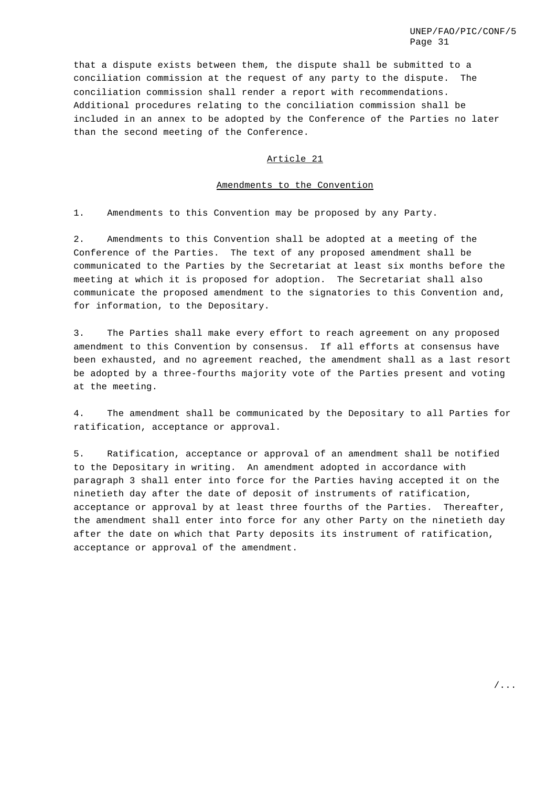that a dispute exists between them, the dispute shall be submitted to a conciliation commission at the request of any party to the dispute. The conciliation commission shall render a report with recommendations. Additional procedures relating to the conciliation commission shall be included in an annex to be adopted by the Conference of the Parties no later than the second meeting of the Conference.

### Article 21

#### Amendments to the Convention

1. Amendments to this Convention may be proposed by any Party.

2. Amendments to this Convention shall be adopted at a meeting of the Conference of the Parties. The text of any proposed amendment shall be communicated to the Parties by the Secretariat at least six months before the meeting at which it is proposed for adoption. The Secretariat shall also communicate the proposed amendment to the signatories to this Convention and, for information, to the Depositary.

3. The Parties shall make every effort to reach agreement on any proposed amendment to this Convention by consensus. If all efforts at consensus have been exhausted, and no agreement reached, the amendment shall as a last resort be adopted by a three-fourths majority vote of the Parties present and voting at the meeting.

4. The amendment shall be communicated by the Depositary to all Parties for ratification, acceptance or approval.

5. Ratification, acceptance or approval of an amendment shall be notified to the Depositary in writing. An amendment adopted in accordance with paragraph 3 shall enter into force for the Parties having accepted it on the ninetieth day after the date of deposit of instruments of ratification, acceptance or approval by at least three fourths of the Parties. Thereafter, the amendment shall enter into force for any other Party on the ninetieth day after the date on which that Party deposits its instrument of ratification, acceptance or approval of the amendment.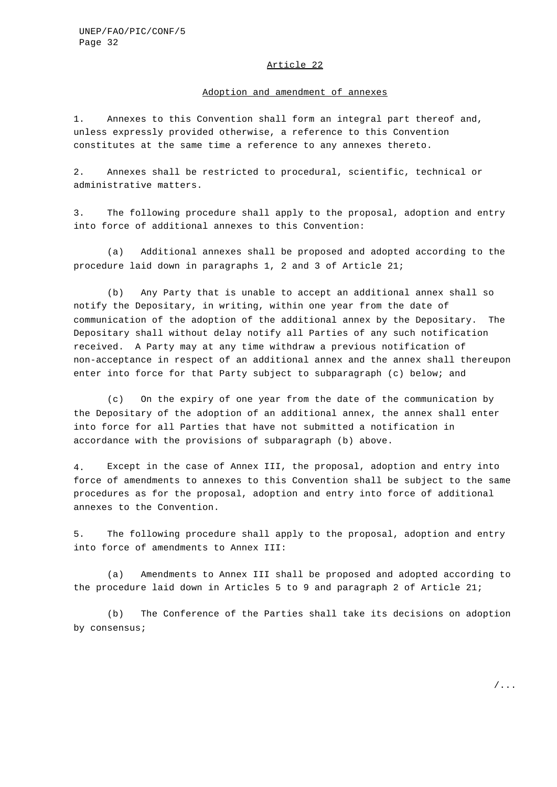### Article 22

### Adoption and amendment of annexes

1. Annexes to this Convention shall form an integral part thereof and, unless expressly provided otherwise, a reference to this Convention constitutes at the same time a reference to any annexes thereto.

2. Annexes shall be restricted to procedural, scientific, technical or administrative matters.

3. The following procedure shall apply to the proposal, adoption and entry into force of additional annexes to this Convention:

(a) Additional annexes shall be proposed and adopted according to the procedure laid down in paragraphs 1, 2 and 3 of Article 21;

(b) Any Party that is unable to accept an additional annex shall so notify the Depositary, in writing, within one year from the date of communication of the adoption of the additional annex by the Depositary. The Depositary shall without delay notify all Parties of any such notification received. A Party may at any time withdraw a previous notification of non-acceptance in respect of an additional annex and the annex shall thereupon enter into force for that Party subject to subparagraph (c) below; and

(c) On the expiry of one year from the date of the communication by the Depositary of the adoption of an additional annex, the annex shall enter into force for all Parties that have not submitted a notification in accordance with the provisions of subparagraph (b) above.

4. Except in the case of Annex III, the proposal, adoption and entry into force of amendments to annexes to this Convention shall be subject to the same procedures as for the proposal, adoption and entry into force of additional annexes to the Convention.

5. The following procedure shall apply to the proposal, adoption and entry into force of amendments to Annex III:

(a) Amendments to Annex III shall be proposed and adopted according to the procedure laid down in Articles 5 to 9 and paragraph 2 of Article 21;

(b) The Conference of the Parties shall take its decisions on adoption by consensus;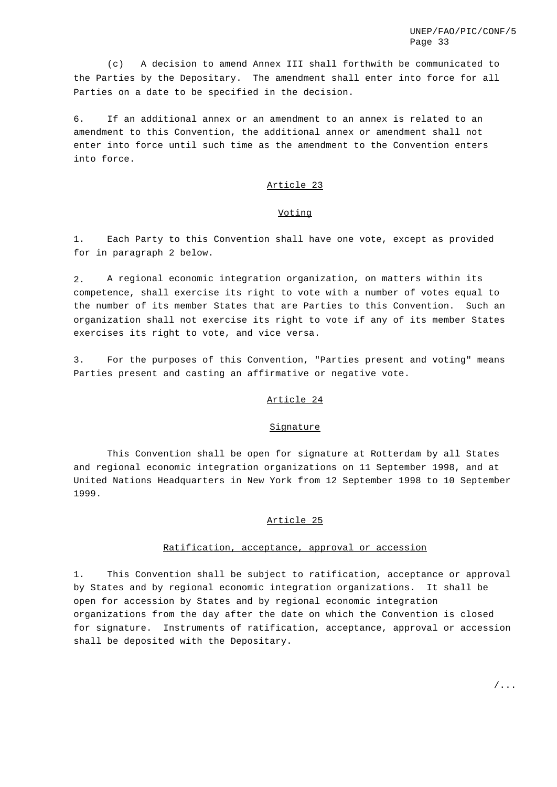(c) A decision to amend Annex III shall forthwith be communicated to the Parties by the Depositary. The amendment shall enter into force for all Parties on a date to be specified in the decision.

6. If an additional annex or an amendment to an annex is related to an amendment to this Convention, the additional annex or amendment shall not enter into force until such time as the amendment to the Convention enters into force.

### Article 23

### Voting

1. Each Party to this Convention shall have one vote, except as provided for in paragraph 2 below.

2. A regional economic integration organization, on matters within its competence, shall exercise its right to vote with a number of votes equal to the number of its member States that are Parties to this Convention. Such an organization shall not exercise its right to vote if any of its member States exercises its right to vote, and vice versa.

3. For the purposes of this Convention, "Parties present and voting" means Parties present and casting an affirmative or negative vote.

### Article 24

#### **Signature**

This Convention shall be open for signature at Rotterdam by all States and regional economic integration organizations on 11 September 1998, and at United Nations Headquarters in New York from 12 September 1998 to 10 September 1999.

#### Article 25

### Ratification, acceptance, approval or accession

1. This Convention shall be subject to ratification, acceptance or approval by States and by regional economic integration organizations. It shall be open for accession by States and by regional economic integration organizations from the day after the date on which the Convention is closed for signature. Instruments of ratification, acceptance, approval or accession shall be deposited with the Depositary.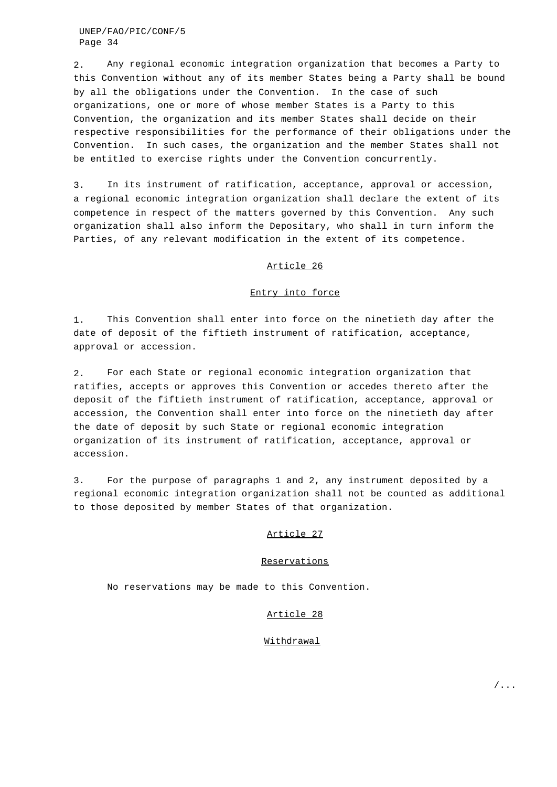2. Any regional economic integration organization that becomes a Party to this Convention without any of its member States being a Party shall be bound by all the obligations under the Convention. In the case of such organizations, one or more of whose member States is a Party to this Convention, the organization and its member States shall decide on their respective responsibilities for the performance of their obligations under the Convention. In such cases, the organization and the member States shall not be entitled to exercise rights under the Convention concurrently.

3. In its instrument of ratification, acceptance, approval or accession, a regional economic integration organization shall declare the extent of its competence in respect of the matters governed by this Convention. Any such organization shall also inform the Depositary, who shall in turn inform the Parties, of any relevant modification in the extent of its competence.

#### Article 26

### Entry into force

1. This Convention shall enter into force on the ninetieth day after the date of deposit of the fiftieth instrument of ratification, acceptance, approval or accession.

2. For each State or regional economic integration organization that ratifies, accepts or approves this Convention or accedes thereto after the deposit of the fiftieth instrument of ratification, acceptance, approval or accession, the Convention shall enter into force on the ninetieth day after the date of deposit by such State or regional economic integration organization of its instrument of ratification, acceptance, approval or accession.

3. For the purpose of paragraphs 1 and 2, any instrument deposited by a regional economic integration organization shall not be counted as additional to those deposited by member States of that organization.

#### Article 27

#### Reservations

No reservations may be made to this Convention.

#### Article 28

### Withdrawal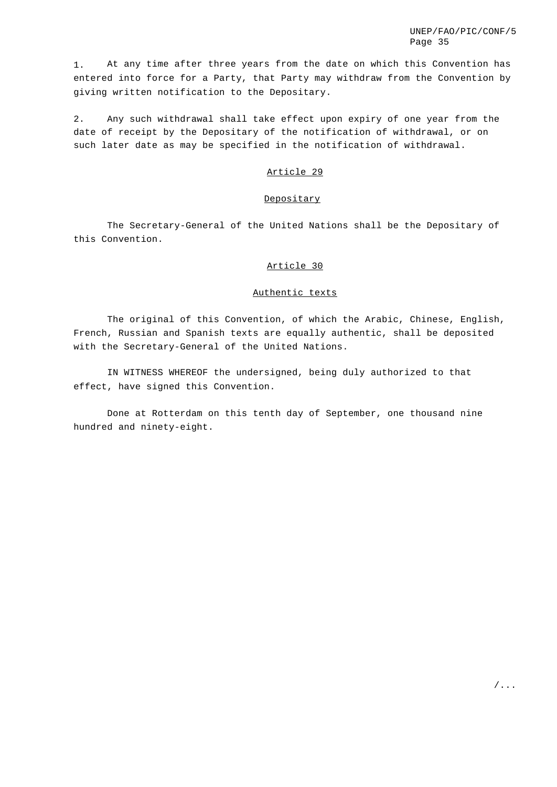1. At any time after three years from the date on which this Convention has entered into force for a Party, that Party may withdraw from the Convention by giving written notification to the Depositary.

2. Any such withdrawal shall take effect upon expiry of one year from the date of receipt by the Depositary of the notification of withdrawal, or on such later date as may be specified in the notification of withdrawal.

## Article 29

#### **Depositary**

The Secretary-General of the United Nations shall be the Depositary of this Convention.

# Article 30

# Authentic texts

The original of this Convention, of which the Arabic, Chinese, English, French, Russian and Spanish texts are equally authentic, shall be deposited with the Secretary-General of the United Nations.

IN WITNESS WHEREOF the undersigned, being duly authorized to that effect, have signed this Convention.

Done at Rotterdam on this tenth day of September, one thousand nine hundred and ninety-eight.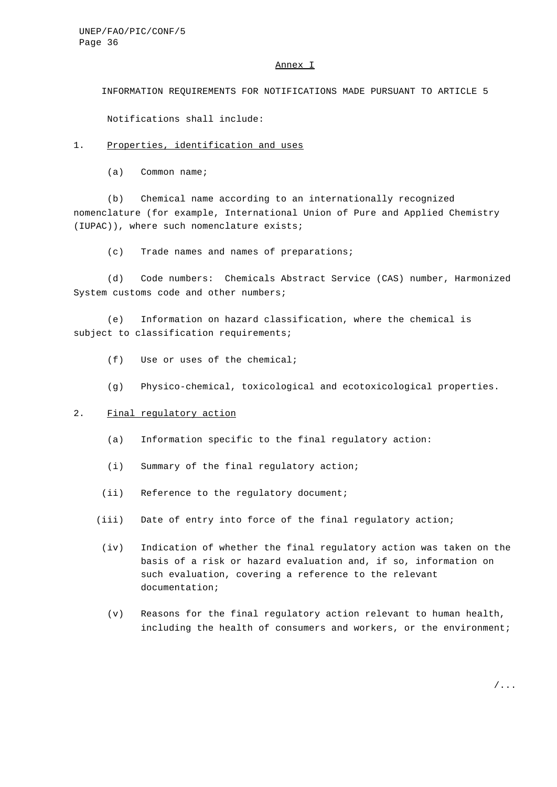#### Annex I

INFORMATION REQUIREMENTS FOR NOTIFICATIONS MADE PURSUANT TO ARTICLE 5

Notifications shall include:

### 1. Properties, identification and uses

(a) Common name;

(b) Chemical name according to an internationally recognized nomenclature (for example, International Union of Pure and Applied Chemistry (IUPAC)), where such nomenclature exists;

(c) Trade names and names of preparations;

(d) Code numbers: Chemicals Abstract Service (CAS) number, Harmonized System customs code and other numbers;

(e) Information on hazard classification, where the chemical is subject to classification requirements;

(f) Use or uses of the chemical;

(g) Physico-chemical, toxicological and ecotoxicological properties.

#### 2. Final regulatory action

- (a) Information specific to the final regulatory action:
- (i) Summary of the final regulatory action;
- (ii) Reference to the regulatory document;
- (iii) Date of entry into force of the final regulatory action;
- (iv) Indication of whether the final regulatory action was taken on the basis of a risk or hazard evaluation and, if so, information on such evaluation, covering a reference to the relevant documentation;
	- (v) Reasons for the final regulatory action relevant to human health, including the health of consumers and workers, or the environment;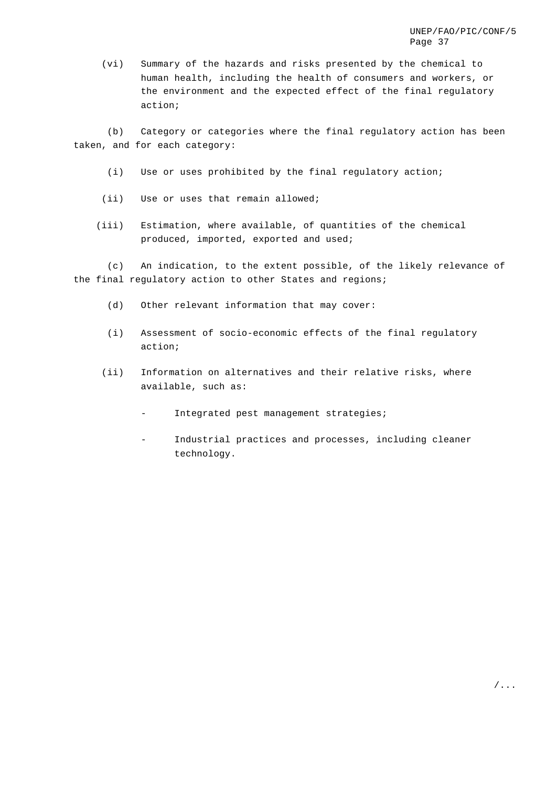(vi) Summary of the hazards and risks presented by the chemical to human health, including the health of consumers and workers, or the environment and the expected effect of the final regulatory action;

(b) Category or categories where the final regulatory action has been taken, and for each category:

- (i) Use or uses prohibited by the final regulatory action;
- (ii) Use or uses that remain allowed;
- (iii) Estimation, where available, of quantities of the chemical produced, imported, exported and used;

(c) An indication, to the extent possible, of the likely relevance of the final regulatory action to other States and regions;

- (d) Other relevant information that may cover:
- (i) Assessment of socio-economic effects of the final regulatory action;
- (ii) Information on alternatives and their relative risks, where available, such as:
	- Integrated pest management strategies;
	- Industrial practices and processes, including cleaner technology.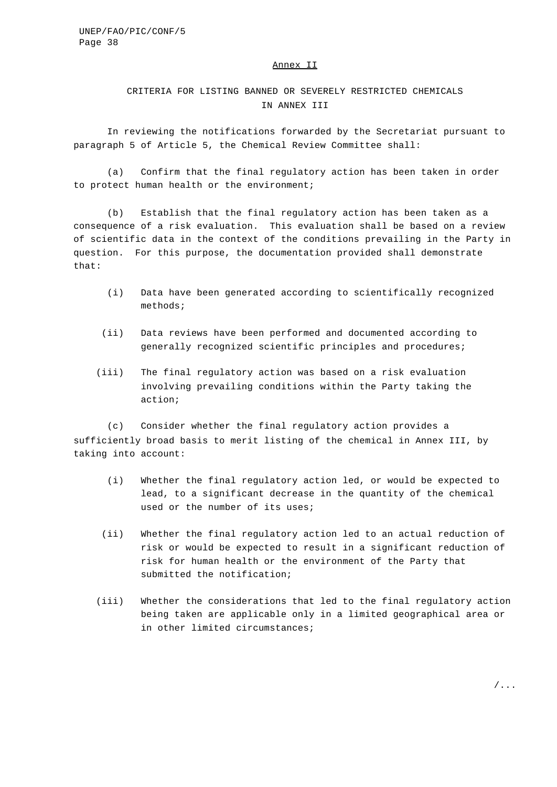### Annex II

# CRITERIA FOR LISTING BANNED OR SEVERELY RESTRICTED CHEMICALS IN ANNEX III

In reviewing the notifications forwarded by the Secretariat pursuant to paragraph 5 of Article 5, the Chemical Review Committee shall:

(a) Confirm that the final regulatory action has been taken in order to protect human health or the environment;

(b) Establish that the final regulatory action has been taken as a consequence of a risk evaluation. This evaluation shall be based on a review of scientific data in the context of the conditions prevailing in the Party in question. For this purpose, the documentation provided shall demonstrate that:

- (i) Data have been generated according to scientifically recognized methods;
- (ii) Data reviews have been performed and documented according to generally recognized scientific principles and procedures;
- (iii) The final regulatory action was based on a risk evaluation involving prevailing conditions within the Party taking the action;

(c) Consider whether the final regulatory action provides a sufficiently broad basis to merit listing of the chemical in Annex III, by taking into account:

- (i) Whether the final regulatory action led, or would be expected to lead, to a significant decrease in the quantity of the chemical used or the number of its uses;
- (ii) Whether the final regulatory action led to an actual reduction of risk or would be expected to result in a significant reduction of risk for human health or the environment of the Party that submitted the notification;
- (iii) Whether the considerations that led to the final regulatory action being taken are applicable only in a limited geographical area or in other limited circumstances;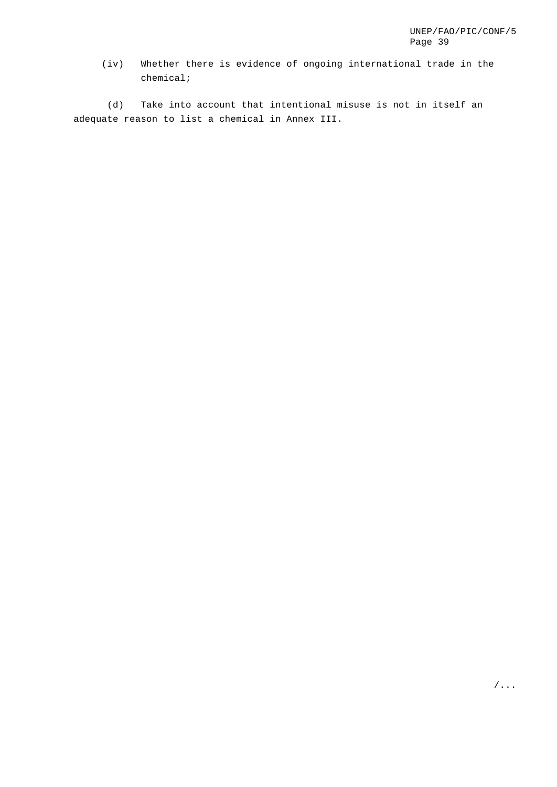(iv) Whether there is evidence of ongoing international trade in the chemical;

(d) Take into account that intentional misuse is not in itself an adequate reason to list a chemical in Annex III.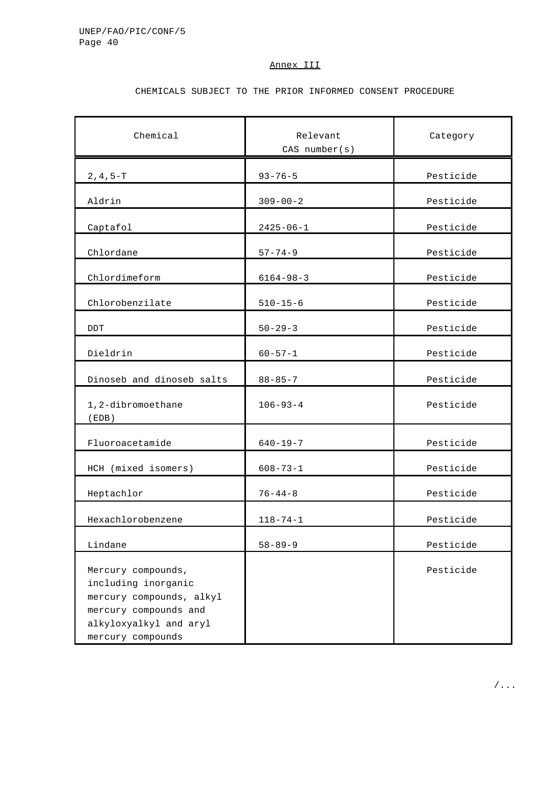### Annex III

# CHEMICALS SUBJECT TO THE PRIOR INFORMED CONSENT PROCEDURE

| Chemical                                                                                                                                      | Relevant<br>CAS number(s) | Category  |
|-----------------------------------------------------------------------------------------------------------------------------------------------|---------------------------|-----------|
| $2$ , $4$ , $5$ – $\footnotesize{\text{T}}$                                                                                                   | $93 - 76 - 5$             | Pesticide |
| Aldrin                                                                                                                                        | $309 - 00 - 2$            | Pesticide |
| Captafol                                                                                                                                      | $2425 - 06 - 1$           | Pesticide |
| Chlordane                                                                                                                                     | $57 - 74 - 9$             | Pesticide |
| Chlordimeform                                                                                                                                 | $6164 - 98 - 3$           | Pesticide |
| Chlorobenzilate                                                                                                                               | $510 - 15 - 6$            | Pesticide |
| <b>DDT</b>                                                                                                                                    | $50 - 29 - 3$             | Pesticide |
| Dieldrin                                                                                                                                      | $60 - 57 - 1$             | Pesticide |
| Dinoseb and dinoseb salts                                                                                                                     | $88 - 85 - 7$             | Pesticide |
| 1,2-dibromoethane<br>(EDB)                                                                                                                    | $106 - 93 - 4$            | Pesticide |
| Fluoroacetamide                                                                                                                               | $640 - 19 - 7$            | Pesticide |
| HCH (mixed isomers)                                                                                                                           | $608 - 73 - 1$            | Pesticide |
| Heptachlor                                                                                                                                    | $76 - 44 - 8$             | Pesticide |
| Hexachlorobenzene                                                                                                                             | $118 - 74 - 1$            | Pesticide |
| Lindane                                                                                                                                       | $58 - 89 - 9$             | Pesticide |
| Mercury compounds,<br>including inorganic<br>mercury compounds, alkyl<br>mercury compounds and<br>alkyloxyalkyl and aryl<br>mercury compounds |                           | Pesticide |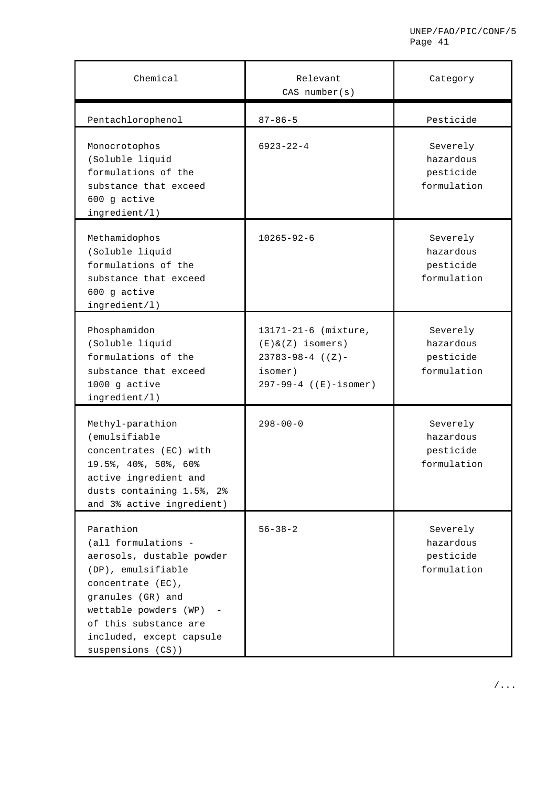| Chemical                                                                                                                                                                                                                           | Relevant<br>CAS number(s)                                                                                       | Category                                          |
|------------------------------------------------------------------------------------------------------------------------------------------------------------------------------------------------------------------------------------|-----------------------------------------------------------------------------------------------------------------|---------------------------------------------------|
| Pentachlorophenol                                                                                                                                                                                                                  | $87 - 86 - 5$                                                                                                   | Pesticide                                         |
| Monocrotophos<br>(Soluble liquid<br>formulations of the<br>substance that exceed<br>600 g active<br>ingredient/1)                                                                                                                  | $6923 - 22 - 4$                                                                                                 | Severely<br>hazardous<br>pesticide<br>formulation |
| Methamidophos<br>(Soluble liquid<br>formulations of the<br>substance that exceed<br>600 g active<br>ingredient/1)                                                                                                                  | $10265 - 92 - 6$                                                                                                | Severely<br>hazardous<br>pesticide<br>formulation |
| Phosphamidon<br>(Soluble liquid<br>formulations of the<br>substance that exceed<br>1000 g active<br>ingredient/1)                                                                                                                  | 13171-21-6 (mixture,<br>$(E)$ & $(Z)$ isomers)<br>$23783 - 98 - 4$ ((Z) -<br>isomer)<br>$297-99-4$ ((E)-isomer) | Severely<br>hazardous<br>pesticide<br>formulation |
| Methyl-parathion<br>(emulsifiable<br>concentrates (EC) with<br>19.5%, 40%, 50%, 60%<br>active ingredient and<br>dusts containing 1.5%, 2%<br>and 3% active ingredient)                                                             | $298 - 00 - 0$                                                                                                  | Severely<br>hazardous<br>pesticide<br>formulation |
| Parathion<br>(all formulations -<br>aerosols, dustable powder<br>(DP), emulsifiable<br>concentrate (EC),<br>granules (GR) and<br>wettable powders (WP) -<br>of this substance are<br>included, except capsule<br>suspensions (CS)) | $56 - 38 - 2$                                                                                                   | Severely<br>hazardous<br>pesticide<br>formulation |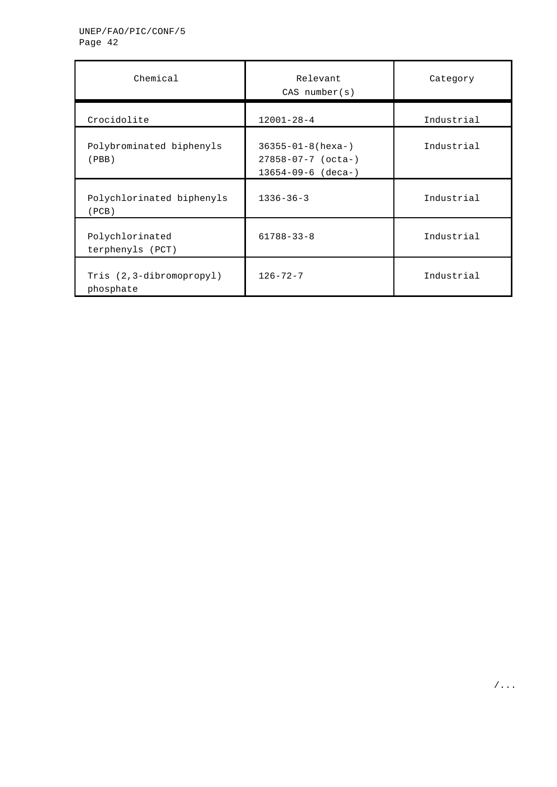| Chemical                              | Relevant<br>$CAS$ number $(s)$                                              | Category   |
|---------------------------------------|-----------------------------------------------------------------------------|------------|
| Crocidolite                           | $12001 - 28 - 4$                                                            | Industrial |
| Polybrominated biphenyls<br>(PBB)     | $36355 - 01 - 8(hexa-)$<br>$27858 - 07 - 7$ (octa-)<br>$13654-09-6$ (deca-) | Industrial |
| Polychlorinated biphenyls<br>(PCB)    | $1336 - 36 - 3$                                                             | Industrial |
| Polychlorinated<br>terphenyls (PCT)   | $61788 - 33 - 8$                                                            | Industrial |
| Tris (2,3-dibromopropyl)<br>phosphate | $126 - 72 - 7$                                                              | Industrial |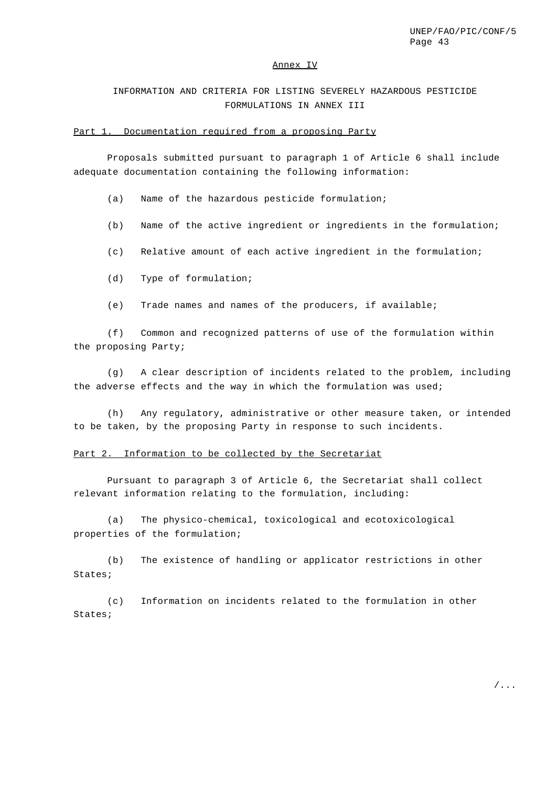### Annex IV

INFORMATION AND CRITERIA FOR LISTING SEVERELY HAZARDOUS PESTICIDE FORMULATIONS IN ANNEX III

#### Part 1. Documentation required from a proposing Party

Proposals submitted pursuant to paragraph 1 of Article 6 shall include adequate documentation containing the following information:

- (a) Name of the hazardous pesticide formulation;
- (b) Name of the active ingredient or ingredients in the formulation;
- (c) Relative amount of each active ingredient in the formulation;
- (d) Type of formulation;
- (e) Trade names and names of the producers, if available;

(f) Common and recognized patterns of use of the formulation within the proposing Party;

(g) A clear description of incidents related to the problem, including the adverse effects and the way in which the formulation was used;

(h) Any regulatory, administrative or other measure taken, or intended to be taken, by the proposing Party in response to such incidents.

### Part 2. Information to be collected by the Secretariat

Pursuant to paragraph 3 of Article 6, the Secretariat shall collect relevant information relating to the formulation, including:

(a) The physico-chemical, toxicological and ecotoxicological properties of the formulation;

(b) The existence of handling or applicator restrictions in other States;

(c) Information on incidents related to the formulation in other States;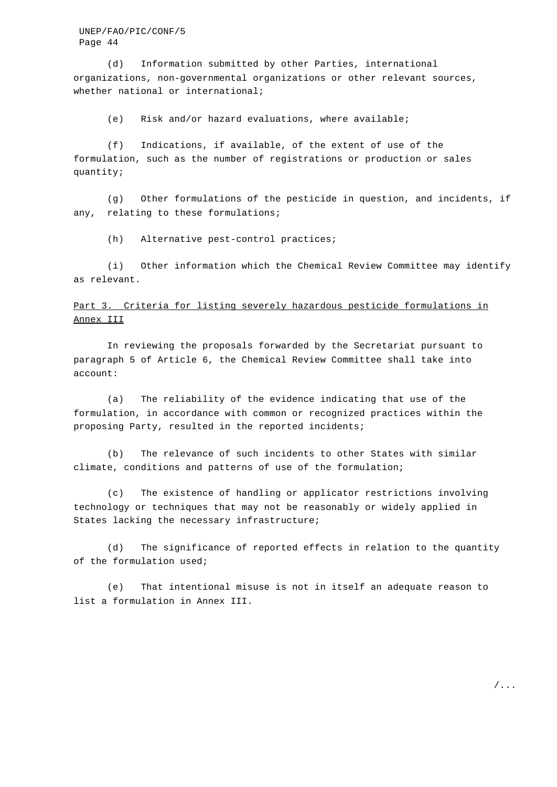(d) Information submitted by other Parties, international organizations, non-governmental organizations or other relevant sources, whether national or international;

(e) Risk and/or hazard evaluations, where available;

(f) Indications, if available, of the extent of use of the formulation, such as the number of registrations or production or sales quantity;

(g) Other formulations of the pesticide in question, and incidents, if any, relating to these formulations;

(h) Alternative pest-control practices;

(i) Other information which the Chemical Review Committee may identify as relevant.

# Part 3. Criteria for listing severely hazardous pesticide formulations in Annex III

In reviewing the proposals forwarded by the Secretariat pursuant to paragraph 5 of Article 6, the Chemical Review Committee shall take into account:

(a) The reliability of the evidence indicating that use of the formulation, in accordance with common or recognized practices within the proposing Party, resulted in the reported incidents;

(b) The relevance of such incidents to other States with similar climate, conditions and patterns of use of the formulation;

(c) The existence of handling or applicator restrictions involving technology or techniques that may not be reasonably or widely applied in States lacking the necessary infrastructure;

(d) The significance of reported effects in relation to the quantity of the formulation used;

(e) That intentional misuse is not in itself an adequate reason to list a formulation in Annex III.